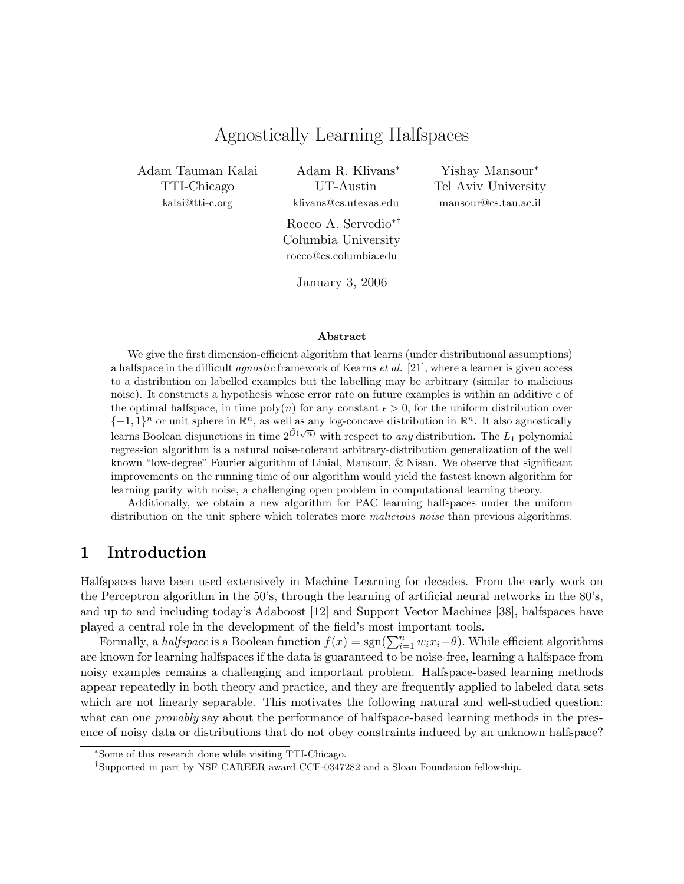# Agnostically Learning Halfspaces

Adam Tauman Kalai TTI-Chicago kalai@tti-c.org

Adam R. Klivans<sup>∗</sup> UT-Austin klivans@cs.utexas.edu

Rocco A. Servedio∗† Columbia University rocco@cs.columbia.edu

Yishay Mansour<sup>∗</sup> Tel Aviv University mansour@cs.tau.ac.il

January 3, 2006

#### Abstract

We give the first dimension-efficient algorithm that learns (under distributional assumptions) a halfspace in the difficult agnostic framework of Kearns et al. [21], where a learner is given access to a distribution on labelled examples but the labelling may be arbitrary (similar to malicious noise). It constructs a hypothesis whose error rate on future examples is within an additive  $\epsilon$  of the optimal halfspace, in time poly(n) for any constant  $\epsilon > 0$ , for the uniform distribution over  $\{-1,1\}^n$  or unit sphere in  $\mathbb{R}^n$ , as well as any log-concave distribution in  $\mathbb{R}^n$ . It also agnostically learns Boolean disjunctions in time  $2^{\tilde{O}(\sqrt{n})}$  with respect to *any* distribution. The  $L_1$  polynomial regression algorithm is a natural noise-tolerant arbitrary-distribution generalization of the well known "low-degree" Fourier algorithm of Linial, Mansour, & Nisan. We observe that significant improvements on the running time of our algorithm would yield the fastest known algorithm for learning parity with noise, a challenging open problem in computational learning theory.

Additionally, we obtain a new algorithm for PAC learning halfspaces under the uniform distribution on the unit sphere which tolerates more *malicious noise* than previous algorithms.

## 1 Introduction

Halfspaces have been used extensively in Machine Learning for decades. From the early work on the Perceptron algorithm in the 50's, through the learning of artificial neural networks in the 80's, and up to and including today's Adaboost [12] and Support Vector Machines [38], halfspaces have played a central role in the development of the field's most important tools.

Formally, a *halfspace* is a Boolean function  $f(x) = sgn(\sum_{i=1}^{n} w_i x_i - \theta)$ . While efficient algorithms are known for learning halfspaces if the data is guaranteed to be noise-free, learning a halfspace from noisy examples remains a challenging and important problem. Halfspace-based learning methods appear repeatedly in both theory and practice, and they are frequently applied to labeled data sets which are not linearly separable. This motivates the following natural and well-studied question: what can one *provably* say about the performance of halfspace-based learning methods in the presence of noisy data or distributions that do not obey constraints induced by an unknown halfspace?

<sup>∗</sup>Some of this research done while visiting TTI-Chicago.

<sup>†</sup>Supported in part by NSF CAREER award CCF-0347282 and a Sloan Foundation fellowship.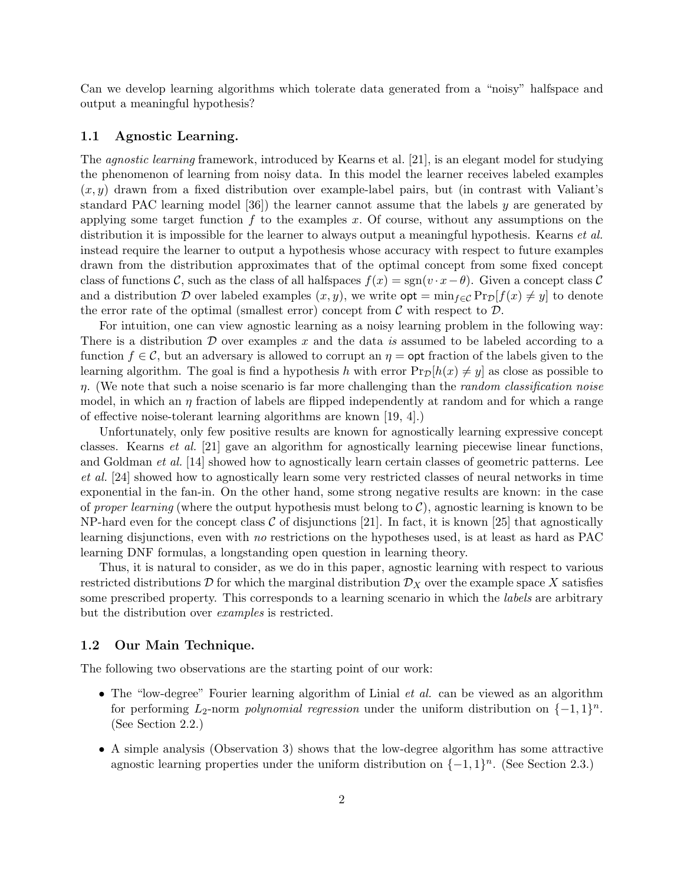Can we develop learning algorithms which tolerate data generated from a "noisy" halfspace and output a meaningful hypothesis?

### 1.1 Agnostic Learning.

The agnostic learning framework, introduced by Kearns et al. [21], is an elegant model for studying the phenomenon of learning from noisy data. In this model the learner receives labeled examples  $(x, y)$  drawn from a fixed distribution over example-label pairs, but (in contrast with Valiant's standard PAC learning model  $[36]$ ) the learner cannot assume that the labels y are generated by applying some target function  $f$  to the examples x. Of course, without any assumptions on the distribution it is impossible for the learner to always output a meaningful hypothesis. Kearns *et al.* instead require the learner to output a hypothesis whose accuracy with respect to future examples drawn from the distribution approximates that of the optimal concept from some fixed concept class of functions C, such as the class of all halfspaces  $f(x) = sgn(v \cdot x - \theta)$ . Given a concept class C and a distribution D over labeled examples  $(x, y)$ , we write  $\varphi(t) = \min_{f \in \mathcal{C}} \Pr_D[f(x) \neq y]$  to denote the error rate of the optimal (smallest error) concept from  $\mathcal C$  with respect to  $\mathcal D$ .

For intuition, one can view agnostic learning as a noisy learning problem in the following way: There is a distribution  $\mathcal D$  over examples x and the data is assumed to be labeled according to a function  $f \in \mathcal{C}$ , but an adversary is allowed to corrupt an  $\eta = \mathsf{opt}$  fraction of the labels given to the learning algorithm. The goal is find a hypothesis h with error  $Pr_{\mathcal{D}}[h(x) \neq y]$  as close as possible to  $\eta$ . (We note that such a noise scenario is far more challenging than the *random classification noise* model, in which an  $\eta$  fraction of labels are flipped independently at random and for which a range of effective noise-tolerant learning algorithms are known [19, 4].)

Unfortunately, only few positive results are known for agnostically learning expressive concept classes. Kearns et al. [21] gave an algorithm for agnostically learning piecewise linear functions, and Goldman *et al.* [14] showed how to agnostically learn certain classes of geometric patterns. Lee et al. [24] showed how to agnostically learn some very restricted classes of neural networks in time exponential in the fan-in. On the other hand, some strong negative results are known: in the case of proper learning (where the output hypothesis must belong to  $C$ ), agnostic learning is known to be NP-hard even for the concept class  $\mathcal C$  of disjunctions [21]. In fact, it is known [25] that agnostically learning disjunctions, even with no restrictions on the hypotheses used, is at least as hard as PAC learning DNF formulas, a longstanding open question in learning theory.

Thus, it is natural to consider, as we do in this paper, agnostic learning with respect to various restricted distributions  $\mathcal D$  for which the marginal distribution  $\mathcal D_X$  over the example space X satisfies some prescribed property. This corresponds to a learning scenario in which the *labels* are arbitrary but the distribution over examples is restricted.

### 1.2 Our Main Technique.

The following two observations are the starting point of our work:

- The "low-degree" Fourier learning algorithm of Linial *et al.* can be viewed as an algorithm for performing  $L_2$ -norm *polynomial regression* under the uniform distribution on  $\{-1,1\}^n$ . (See Section 2.2.)
- A simple analysis (Observation 3) shows that the low-degree algorithm has some attractive agnostic learning properties under the uniform distribution on  $\{-1,1\}^n$ . (See Section 2.3.)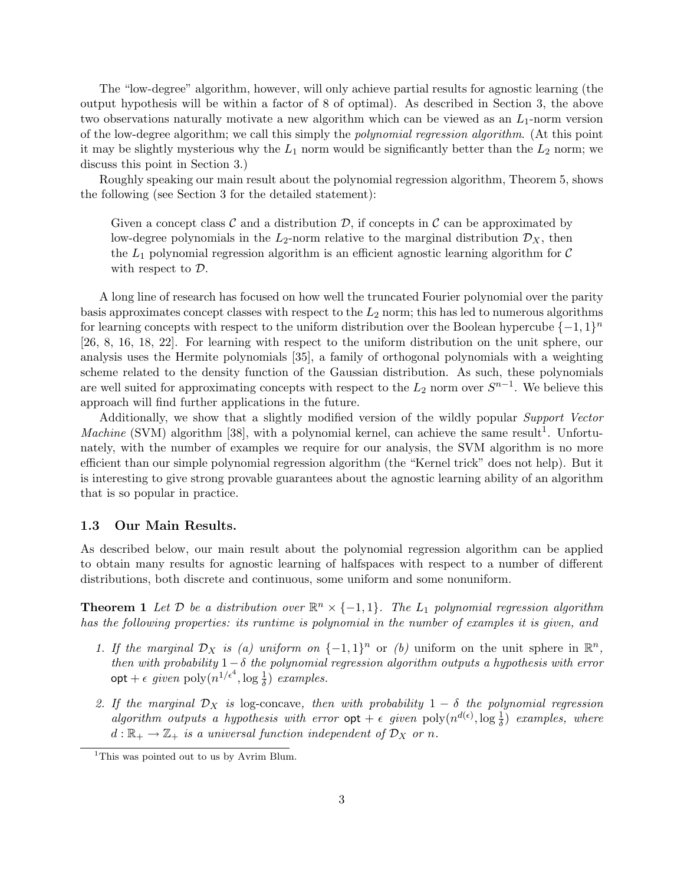The "low-degree" algorithm, however, will only achieve partial results for agnostic learning (the output hypothesis will be within a factor of 8 of optimal). As described in Section 3, the above two observations naturally motivate a new algorithm which can be viewed as an  $L_1$ -norm version of the low-degree algorithm; we call this simply the polynomial regression algorithm. (At this point it may be slightly mysterious why the  $L_1$  norm would be significantly better than the  $L_2$  norm; we discuss this point in Section 3.)

Roughly speaking our main result about the polynomial regression algorithm, Theorem 5, shows the following (see Section 3 for the detailed statement):

Given a concept class  $\mathcal C$  and a distribution  $\mathcal D$ , if concepts in  $\mathcal C$  can be approximated by low-degree polynomials in the  $L_2$ -norm relative to the marginal distribution  $\mathcal{D}_X$ , then the  $L_1$  polynomial regression algorithm is an efficient agnostic learning algorithm for  $\mathcal C$ with respect to  $\mathcal{D}$ .

A long line of research has focused on how well the truncated Fourier polynomial over the parity basis approximates concept classes with respect to the  $L_2$  norm; this has led to numerous algorithms for learning concepts with respect to the uniform distribution over the Boolean hypercube  $\{-1,1\}^n$ [26, 8, 16, 18, 22]. For learning with respect to the uniform distribution on the unit sphere, our analysis uses the Hermite polynomials [35], a family of orthogonal polynomials with a weighting scheme related to the density function of the Gaussian distribution. As such, these polynomials are well suited for approximating concepts with respect to the  $L_2$  norm over  $S^{n-1}$ . We believe this approach will find further applications in the future.

Additionally, we show that a slightly modified version of the wildly popular Support Vector Machine (SVM) algorithm [38], with a polynomial kernel, can achieve the same result<sup>1</sup>. Unfortunately, with the number of examples we require for our analysis, the SVM algorithm is no more efficient than our simple polynomial regression algorithm (the "Kernel trick" does not help). But it is interesting to give strong provable guarantees about the agnostic learning ability of an algorithm that is so popular in practice.

### 1.3 Our Main Results.

As described below, our main result about the polynomial regression algorithm can be applied to obtain many results for agnostic learning of halfspaces with respect to a number of different distributions, both discrete and continuous, some uniform and some nonuniform.

**Theorem 1** Let  $D$  be a distribution over  $\mathbb{R}^n \times \{-1,1\}$ . The  $L_1$  polynomial regression algorithm has the following properties: its runtime is polynomial in the number of examples it is given, and

- 1. If the marginal  $\mathcal{D}_X$  is (a) uniform on  $\{-1,1\}^n$  or (b) uniform on the unit sphere in  $\mathbb{R}^n$ , then with probability  $1-\delta$  the polynomial regression algorithm outputs a hypothesis with error  $\mathsf{opt} + \epsilon$  given  $\mathrm{poly}(n^{1/\epsilon^4}, \log \frac{1}{\delta})$  examples.
- 2. If the marginal  $\mathcal{D}_X$  is log-concave, then with probability  $1 \delta$  the polynomial regression algorithm outputs a hypothesis with error  $opt + \epsilon$  given  $poly(n^{d(\epsilon)}, \log \frac{1}{\delta})$  examples, where  $d: \mathbb{R}_+ \to \mathbb{Z}_+$  is a universal function independent of  $\mathcal{D}_X$  or n.

<sup>&</sup>lt;sup>1</sup>This was pointed out to us by Avrim Blum.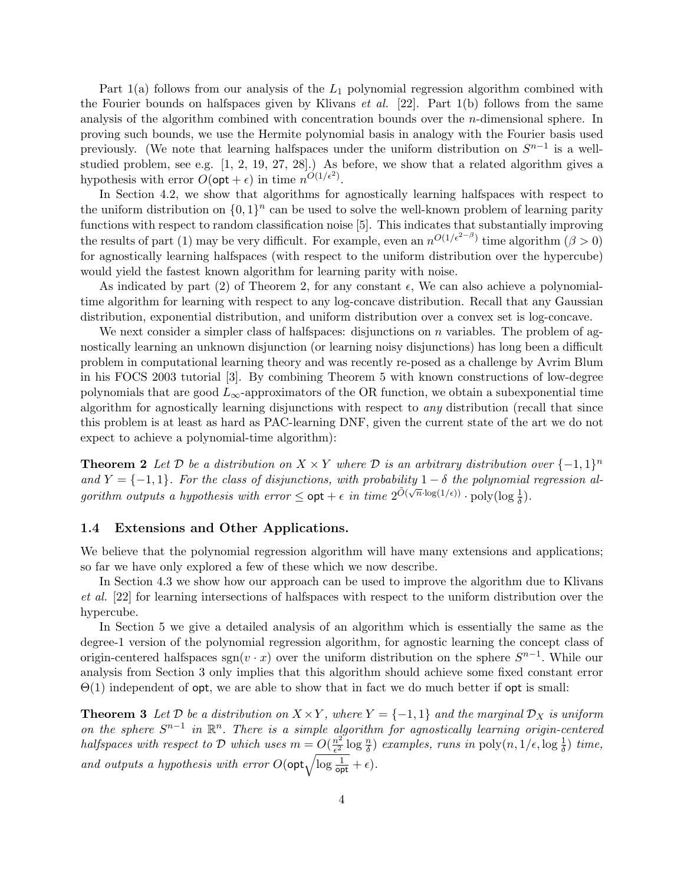Part  $1(a)$  follows from our analysis of the  $L_1$  polynomial regression algorithm combined with the Fourier bounds on halfspaces given by Klivans *et al.* [22]. Part  $1(b)$  follows from the same analysis of the algorithm combined with concentration bounds over the n-dimensional sphere. In proving such bounds, we use the Hermite polynomial basis in analogy with the Fourier basis used previously. (We note that learning halfspaces under the uniform distribution on  $S^{n-1}$  is a wellstudied problem, see e.g. [1, 2, 19, 27, 28].) As before, we show that a related algorithm gives a hypothesis with error  $O(\mathsf{opt} + \epsilon)$  in time  $n^{O(1/\epsilon^2)}$ .

In Section 4.2, we show that algorithms for agnostically learning halfspaces with respect to the uniform distribution on  $\{0,1\}^n$  can be used to solve the well-known problem of learning parity functions with respect to random classification noise [5]. This indicates that substantially improving the results of part (1) may be very difficult. For example, even an  $n^{O(1/\epsilon^{2-\beta})}$  time algorithm  $(\beta > 0)$ for agnostically learning halfspaces (with respect to the uniform distribution over the hypercube) would yield the fastest known algorithm for learning parity with noise.

As indicated by part (2) of Theorem 2, for any constant  $\epsilon$ , We can also achieve a polynomialtime algorithm for learning with respect to any log-concave distribution. Recall that any Gaussian distribution, exponential distribution, and uniform distribution over a convex set is log-concave.

We next consider a simpler class of halfspaces: disjunctions on  $n$  variables. The problem of agnostically learning an unknown disjunction (or learning noisy disjunctions) has long been a difficult problem in computational learning theory and was recently re-posed as a challenge by Avrim Blum in his FOCS 2003 tutorial [3]. By combining Theorem 5 with known constructions of low-degree polynomials that are good  $L_{\infty}$ -approximators of the OR function, we obtain a subexponential time algorithm for agnostically learning disjunctions with respect to any distribution (recall that since this problem is at least as hard as PAC-learning DNF, given the current state of the art we do not expect to achieve a polynomial-time algorithm):

**Theorem 2** Let D be a distribution on  $X \times Y$  where D is an arbitrary distribution over  $\{-1,1\}^n$ and  $Y = \{-1, 1\}$ . For the class of disjunctions, with probability  $1 - \delta$  the polynomial regression algorithm outputs a hypothesis with error  $\leq$   $\cot + \epsilon$  in time  $2^{\tilde{O}(\sqrt{n}\cdot \log(1/\epsilon))} \cdot \text{poly}(\log \frac{1}{\delta})$ .

### 1.4 Extensions and Other Applications.

We believe that the polynomial regression algorithm will have many extensions and applications; so far we have only explored a few of these which we now describe.

In Section 4.3 we show how our approach can be used to improve the algorithm due to Klivans et al. [22] for learning intersections of halfspaces with respect to the uniform distribution over the hypercube.

In Section 5 we give a detailed analysis of an algorithm which is essentially the same as the degree-1 version of the polynomial regression algorithm, for agnostic learning the concept class of origin-centered halfspaces sgn(v  $\cdot x$ ) over the uniform distribution on the sphere  $S^{n-1}$ . While our analysis from Section 3 only implies that this algorithm should achieve some fixed constant error  $\Theta(1)$  independent of opt, we are able to show that in fact we do much better if opt is small:

**Theorem 3** Let  $D$  be a distribution on  $X \times Y$ , where  $Y = \{-1, 1\}$  and the marginal  $D_X$  is uniform on the sphere  $S^{n-1}$  in  $\mathbb{R}^n$ . There is a simple algorithm for agnostically learning origin-centered halfspaces with respect to D which uses  $m = O(\frac{n^2}{c^2})$  $\frac{n^2}{\epsilon^2} \log \frac{n}{\delta}$  examples, runs in poly $(n, 1/\epsilon, \log \frac{1}{\delta})$  time, rangements a hypothesis with error  $O(\text{opt}\sqrt{\log{\frac{1}{\text{opt}}}+\epsilon})$ .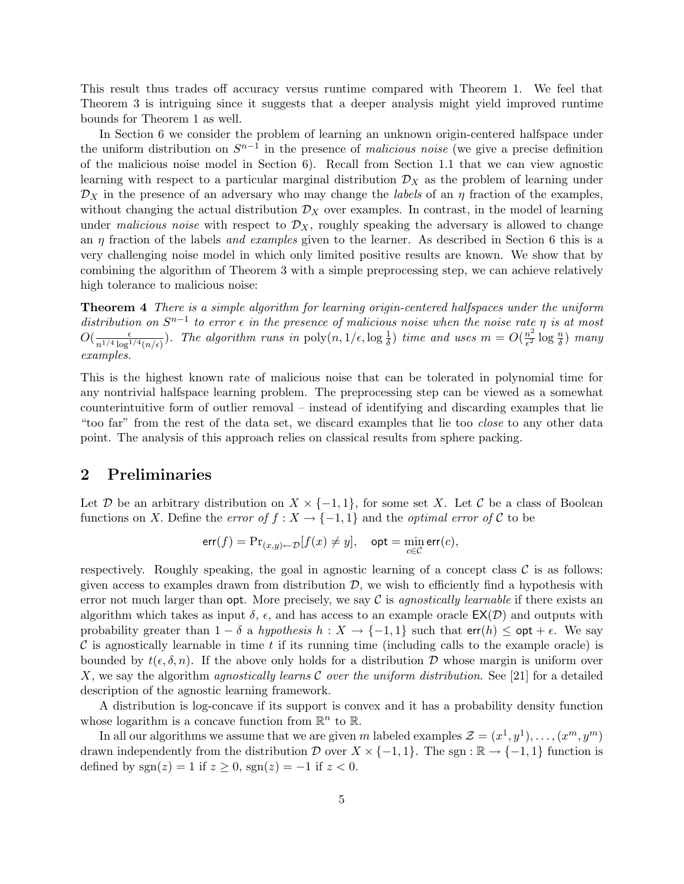This result thus trades off accuracy versus runtime compared with Theorem 1. We feel that Theorem 3 is intriguing since it suggests that a deeper analysis might yield improved runtime bounds for Theorem 1 as well.

In Section 6 we consider the problem of learning an unknown origin-centered halfspace under the uniform distribution on  $S^{n-1}$  in the presence of *malicious noise* (we give a precise definition of the malicious noise model in Section 6). Recall from Section 1.1 that we can view agnostic learning with respect to a particular marginal distribution  $\mathcal{D}_X$  as the problem of learning under  $\mathcal{D}_X$  in the presence of an adversary who may change the *labels* of an  $\eta$  fraction of the examples, without changing the actual distribution  $\mathcal{D}_X$  over examples. In contrast, in the model of learning under malicious noise with respect to  $\mathcal{D}_X$ , roughly speaking the adversary is allowed to change an  $\eta$  fraction of the labels *and examples* given to the learner. As described in Section 6 this is a very challenging noise model in which only limited positive results are known. We show that by combining the algorithm of Theorem 3 with a simple preprocessing step, we can achieve relatively high tolerance to malicious noise:

Theorem 4 There is a simple algorithm for learning origin-centered halfspaces under the uniform distribution on  $S^{n-1}$  to error  $\epsilon$  in the presence of malicious noise when the noise rate  $\eta$  is at most  $O(\frac{\epsilon}{\epsilon^{1/4}})$  $\frac{\epsilon}{n^{1/4} \log^{1/4}(n/\epsilon)}$ ). The algorithm runs in  $\text{poly}(n, 1/\epsilon, \log \frac{1}{\delta})$  time and uses  $m = O(\frac{n^2}{\epsilon^2})$  $\frac{n^2}{\epsilon^2}\log\frac{n}{\delta})$  many examples.

This is the highest known rate of malicious noise that can be tolerated in polynomial time for any nontrivial halfspace learning problem. The preprocessing step can be viewed as a somewhat counterintuitive form of outlier removal – instead of identifying and discarding examples that lie "too far" from the rest of the data set, we discard examples that lie too *close* to any other data point. The analysis of this approach relies on classical results from sphere packing.

## 2 Preliminaries

Let D be an arbitrary distribution on  $X \times \{-1,1\}$ , for some set X. Let C be a class of Boolean functions on X. Define the error of  $f : X \to \{-1,1\}$  and the optimal error of C to be

$$
\text{err}(f) = \Pr_{(x,y)\leftarrow \mathcal{D}}[f(x) \neq y], \quad \text{opt} = \min_{c \in \mathcal{C}} \text{err}(c),
$$

respectively. Roughly speaking, the goal in agnostic learning of a concept class  $\mathcal C$  is as follows: given access to examples drawn from distribution  $D$ , we wish to efficiently find a hypothesis with error not much larger than opt. More precisely, we say  $\mathcal C$  is agnostically learnable if there exists an algorithm which takes as input  $\delta$ ,  $\epsilon$ , and has access to an example oracle  $\mathsf{EX}(\mathcal{D})$  and outputs with probability greater than  $1 - \delta$  a *hypothesis*  $h : X \to \{-1,1\}$  such that  $\textsf{err}(h) \leq \textsf{opt} + \epsilon$ . We say  $\mathcal C$  is agnostically learnable in time t if its running time (including calls to the example oracle) is bounded by  $t(\epsilon, \delta, n)$ . If the above only holds for a distribution D whose margin is uniform over X, we say the algorithm agnostically learns C over the uniform distribution. See [21] for a detailed description of the agnostic learning framework.

A distribution is log-concave if its support is convex and it has a probability density function whose logarithm is a concave function from  $\mathbb{R}^n$  to  $\mathbb{R}$ .

In all our algorithms we assume that we are given m labeled examples  $\mathcal{Z} = (x^1, y^1), \ldots, (x^m, y^m)$ drawn independently from the distribution D over  $X \times \{-1,1\}$ . The sgn :  $\mathbb{R} \to \{-1,1\}$  function is defined by sgn(z) = 1 if  $z \ge 0$ , sgn(z) = -1 if  $z < 0$ .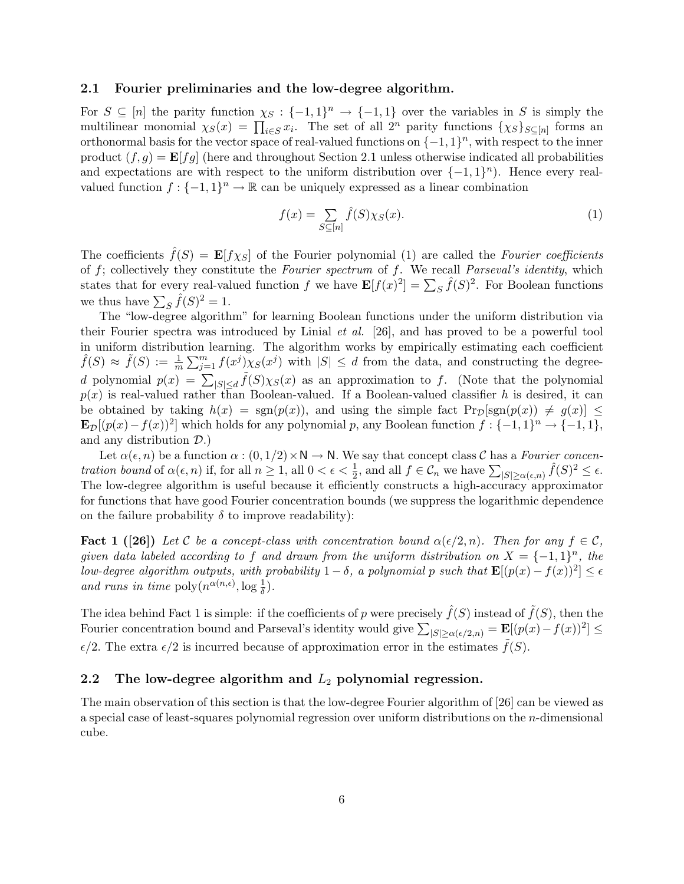### 2.1 Fourier preliminaries and the low-degree algorithm.

For  $S \subseteq [n]$  the parity function  $\chi_S : \{-1,1\}^n \to \{-1,1\}$  over the variables in S is simply the For  $S \subseteq [n]$  the parity function  $\chi_S : \{-1, 1\} \to \{-1, 1\}$  over the variables in S is simply the<br>multilinear monomial  $\chi_S(x) = \prod_{i \in S} x_i$ . The set of all  $2^n$  parity functions  $\{\chi_S\}_{S \subseteq [n]}$  forms an orthonormal basis for the vector space of real-valued functions on  $\{-1,1\}^n$ , with respect to the inner product  $(f, g) = \mathbf{E}[fg]$  (here and throughout Section 2.1 unless otherwise indicated all probabilities and expectations are with respect to the uniform distribution over  $\{-1,1\}^n$ ). Hence every realvalued function  $f: \{-1,1\}^n \to \mathbb{R}$  can be uniquely expressed as a linear combination

$$
f(x) = \sum_{S \subseteq [n]} \hat{f}(S) \chi_S(x). \tag{1}
$$

The coefficients  $\hat{f}(S) = \mathbf{E}[f\chi_S]$  of the Fourier polynomial (1) are called the Fourier coefficients of  $f$ ; collectively they constitute the Fourier spectrum of  $f$ . We recall Parseval's identity, which or f, conectively they constitute the *Pourter spectrum* of f. We recall *I arsetal s tuentity*, which states that for every real-valued function f we have  $\mathbf{E}[f(x)^2] = \sum_S \hat{f}(S)^2$ . For Boolean functions we thus have  $\sum_{S} \hat{f}(S)^2 = 1$ .

The "low-degree algorithm" for learning Boolean functions under the uniform distribution via their Fourier spectra was introduced by Linial et al. [26], and has proved to be a powerful tool in uniform distribution learning. The algorithm works by empirically estimating each coefficient  $\hat{f}(S) \approx \tilde{f}(S) := \frac{1}{m}$  $\frac{1}{\sqrt{m}}$  $\lim_{j=1}^{m} f(x^j) \chi_S(x^j)$  with  $|S| \leq d$  from the data, and constructing the degreed polynomial  $p(x) = \sum_{|S| \le d} \tilde{f}(S) \chi_S(x)$  as an approximation to f. (Note that the polynomial  $p(x)$  is real-valued rather than Boolean-valued. If a Boolean-valued classifier h is desired, it can be obtained by taking  $h(x) = \text{sgn}(p(x))$ , and using the simple fact  $\text{Pr}_{\mathcal{D}}[\text{sgn}(p(x)) \neq g(x)] \leq$  $\mathbf{E}_{\mathcal{D}}[(p(x)-f(x))^2]$  which holds for any polynomial p, any Boolean function  $f: \{-1,1\}^n \to \{-1,1\}$ , and any distribution  $\mathcal{D}$ .)

Let  $\alpha(\epsilon, n)$  be a function  $\alpha : (0, 1/2) \times N \to N$ . We say that concept class C has a Fourier concen-Let  $\alpha(\epsilon, n)$  be a function  $\alpha$ .  $(0, 1/2) \times \mathbb{N} \to \mathbb{N}$ , we say that concept class C has a *Fourier concentration bound* of  $\alpha(\epsilon, n)$  if, for all  $n \ge 1$ , all  $0 < \epsilon < \frac{1}{2}$ , and all  $f \in C_n$  we have  $\sum_{|S| \ge \alpha(\epsilon, n)} \$ The low-degree algorithm is useful because it efficiently constructs a high-accuracy approximator for functions that have good Fourier concentration bounds (we suppress the logarithmic dependence on the failure probability  $\delta$  to improve readability):

**Fact 1 ([26])** Let C be a concept-class with concentration bound  $\alpha(\epsilon/2, n)$ . Then for any  $f \in \mathcal{C}$ , given data labeled according to f and drawn from the uniform distribution on  $X = \{-1,1\}^n$ , the low-degree algorithm outputs, with probability  $1-\delta$ , a polynomial p such that  $\mathbf{E}[(p(x) - f(x))^2] \leq \epsilon$ and runs in time  $\text{poly}(n^{\alpha(n,\epsilon)}, \log \frac{1}{\delta}).$ 

The idea behind Fact 1 is simple: if the coefficients of p were precisely  $\hat{f}(S)$  instead of  $\tilde{f}(S)$ , then the The idea behind ract I is simple: if the coefficients of p were precisely  $f(S)$  instead of  $f(S)$ , then the Fourier concentration bound and Parseval's identity would give  $\sum_{|S| \ge \alpha(\epsilon/2,n)} = \mathbf{E}[(p(x)-f(x))^2] \le$  $\epsilon/2$ . The extra  $\epsilon/2$  is incurred because of approximation error in the estimates  $f(S)$ .

### 2.2 The low-degree algorithm and  $L_2$  polynomial regression.

The main observation of this section is that the low-degree Fourier algorithm of [26] can be viewed as a special case of least-squares polynomial regression over uniform distributions on the n-dimensional cube.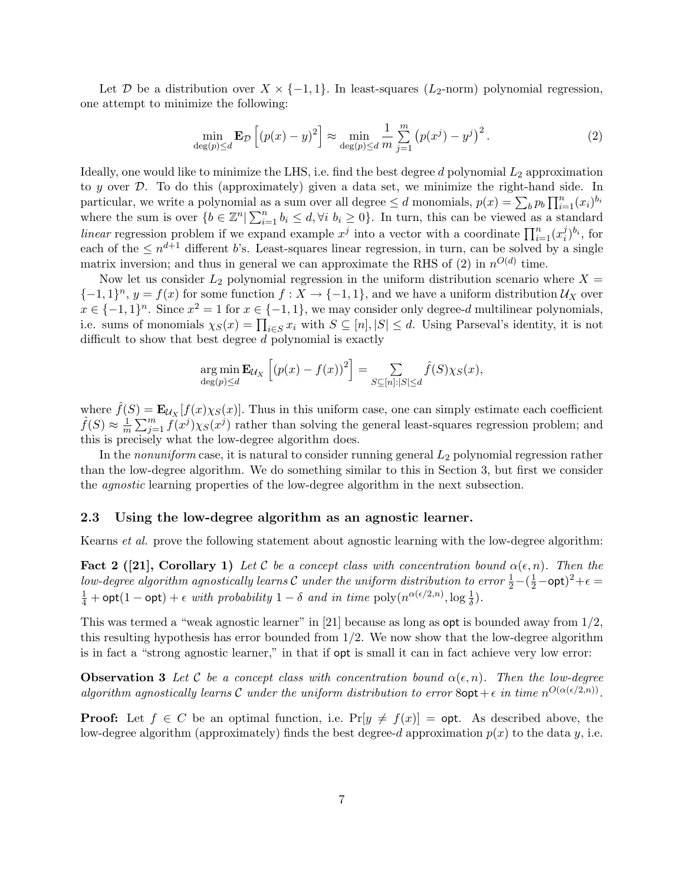Let D be a distribution over  $X \times \{-1,1\}$ . In least-squares  $(L_2\text{-norm})$  polynomial regression, one attempt to minimize the following:

$$
\min_{\deg(p)\le d} \mathbf{E}_{\mathcal{D}}\left[ (p(x)-y)^2 \right] \approx \min_{\deg(p)\le d} \frac{1}{m} \sum_{j=1}^m \left( p(x^j) - y^j \right)^2. \tag{2}
$$

Ideally, one would like to minimize the LHS, i.e. find the best degree  $d$  polynomial  $L_2$  approximation to y over D. To do this (approximately) given a data set, we minimize the right-hand side. In to y over  $\nu$ . To do this (approximately) given a data set, we imminize the right-hand s<br>particular, we write a polynomial as a sum over all degree  $\leq d$  monomials,  $p(x) = \sum_b p_b \prod_{i=1}^n$  $\sum_{i=1}^{n} (x_i)^{b_i}$ particular, we write a polynomial as<br>where the sum is over  $\{b \in \mathbb{Z}^n | \sum_{i=1}^n a_i$  $i=1 \atop i=1$   $b_i \leq d$ ,  $\forall i \, b_i \geq 0$ . In turn, this can be viewed as a standard where the sum is over  $\{v \in \mathbb{Z} \mid \sum_{i=1}^{n} v_i \leq u, v_i v_i \leq 0\}$ . In turn, this can be viewed as a station linear regression problem if we expand example  $x^j$  into a vector with a coordinate  $\prod_{i=1}^{n} (x_i^j)$  $\binom{j}{i}^{b_i}$ , for each of the  $\leq n^{d+1}$  different b's. Least-squares linear regression, in turn, can be solved by a single matrix inversion; and thus in general we can approximate the RHS of (2) in  $n^{O(d)}$  time.

Now let us consider  $L_2$  polynomial regression in the uniform distribution scenario where  $X =$  $\{-1,1\}^n$ ,  $y = f(x)$  for some function  $f: X \to \{-1,1\}$ , and we have a uniform distribution  $\mathcal{U}_X$  over  $x \in \{-1,1\}^n$ . Since  $x^2 = 1$  for  $x \in \{-1,1\}$ , we may consider only degree-d multilinear polynomials,  $i.e.$  sums of monomials  $\chi_S(x) = \prod_{i \in S} x_i$  with  $S \subseteq [n], |S| \le d$ . Using Parseval's identity, it is not difficult to show that best degree d polynomial is exactly

$$
\underset{\deg(p)\leq d}{\arg\min} \mathbf{E}_{\mathcal{U}_X} \left[ \left( p(x) - f(x) \right)^2 \right] = \sum_{S \subseteq [n]:|S| \leq d} \hat{f}(S) \chi_S(x),
$$

where  $\hat{f}(S) = \mathbf{E}_{\mathcal{U}_X}[f(x)\chi_S(x)]$ . Thus in this uniform case, one can simply estimate each coefficient  $\hat{f}(S) \approx \frac{1}{\pi}$  $\overline{m}$  $\frac{1}{\sqrt{m}}$  $_{j=1}^{m} f(x^{j}) \chi_{S}(x^{j})$  rather than solving the general least-squares regression problem; and this is precisely what the low-degree algorithm does.

In the *nonuniform* case, it is natural to consider running general  $L_2$  polynomial regression rather than the low-degree algorithm. We do something similar to this in Section 3, but first we consider the agnostic learning properties of the low-degree algorithm in the next subsection.

#### 2.3 Using the low-degree algorithm as an agnostic learner.

Kearns et al. prove the following statement about agnostic learning with the low-degree algorithm:

**Fact 2** ([21], Corollary 1) Let C be a concept class with concentration bound  $\alpha(\epsilon, n)$ . Then the low-degree algorithm agnostically learns  $\cal C$  under the uniform distribution to error  $\frac{1}{2}-(\frac{1}{2}-$ opt $)^2+\epsilon=$  $\frac{1}{4}$  + opt(1 – opt) +  $\epsilon$  with probability 1 –  $\delta$  and in time poly $(n^{\alpha(\epsilon/2,n)}, \log \frac{1}{\delta}).$ 

This was termed a "weak agnostic learner" in [21] because as long as opt is bounded away from 1/2, this resulting hypothesis has error bounded from  $1/2$ . We now show that the low-degree algorithm is in fact a "strong agnostic learner," in that if opt is small it can in fact achieve very low error:

**Observation 3** Let C be a concept class with concentration bound  $\alpha(\epsilon, n)$ . Then the low-degree algorithm agnostically learns C under the uniform distribution to error  $8$ opt +  $\epsilon$  in time  $n^{O(\alpha(\epsilon/2,n))}$ .

**Proof:** Let  $f \in C$  be an optimal function, i.e.  $Pr[y \neq f(x)] =$  opt. As described above, the low-degree algorithm (approximately) finds the best degree-d approximation  $p(x)$  to the data y, i.e.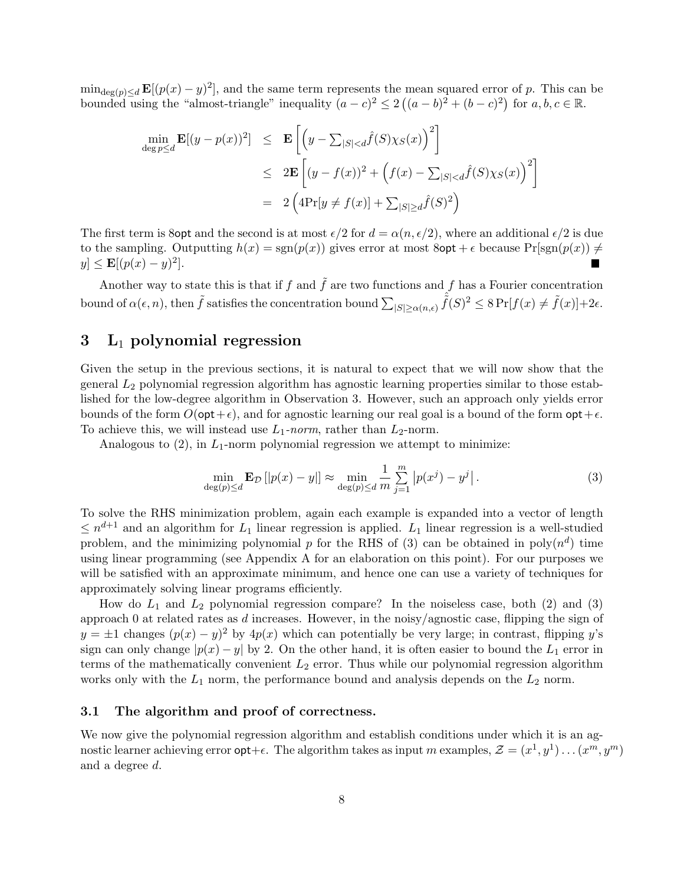$\min_{\deg(p)\leq d} \mathbf{E}[(p(x)-y)^2]$ , and the same term represents the mean squared error of p. This can be  $\min_{\deg(p) \leq d}$   $\mathbf{E}[(p(x) - y)^2]$ , and the same term represents the incomplexity  $(a - c)^2 \leq 2$  (  $(a - b)^2 + (b - c)^2$ for  $a, b, c \in \mathbb{R}$ .

$$
\min_{\deg p \le d} \mathbf{E}[(y - p(x))^2] \le \mathbf{E}\left[\left(y - \sum_{|S| < d} \hat{f}(S)\chi_S(x)\right)^2\right] \\
\le 2\mathbf{E}\left[(y - f(x))^2 + \left(f(x) - \sum_{|S| < d} \hat{f}(S)\chi_S(x)\right)^2\right] \\
= 2\left(4\Pr[y \ne f(x)] + \sum_{|S| \ge d} \hat{f}(S)^2\right)
$$

The first term is 8opt and the second is at most  $\epsilon/2$  for  $d = \alpha(n, \epsilon/2)$ , where an additional  $\epsilon/2$  is due to the sampling. Outputting  $h(x) = \text{sgn}(p(x))$  gives error at most  $8$ opt +  $\epsilon$  because  $\text{Pr}[\text{sgn}(p(x)) \neq 0]$  $y \le \mathbf{E}[(p(x) - y)^2].$ п

Another way to state this is that if f and  $\tilde{f}$  are two functions and f has a Fourier concentration bound of  $\alpha(\epsilon, n)$ , then  $\tilde{f}$  satisfies the concentration bound  $\sum_{|S| \geq \alpha(n,\epsilon)} \hat{f}(S)^2 \leq 8 \Pr[f(x) \neq \tilde{f}(x)] + 2\epsilon$ .

## $3$  L<sub>1</sub> polynomial regression

Given the setup in the previous sections, it is natural to expect that we will now show that the general L<sup>2</sup> polynomial regression algorithm has agnostic learning properties similar to those established for the low-degree algorithm in Observation 3. However, such an approach only yields error bounds of the form  $O(\mathsf{opt}+\epsilon)$ , and for agnostic learning our real goal is a bound of the form  $\mathsf{opt}+\epsilon$ . To achieve this, we will instead use  $L_1$ -norm, rather than  $L_2$ -norm.

Analogous to  $(2)$ , in  $L_1$ -norm polynomial regression we attempt to minimize:

$$
\min_{\deg(p)\le d} \mathbf{E}_{\mathcal{D}}\left[|p(x) - y|\right] \approx \min_{\deg(p)\le d} \frac{1}{m} \sum_{j=1}^m \left|p(x^j) - y^j\right|.
$$
\n(3)

To solve the RHS minimization problem, again each example is expanded into a vector of length  $\leq n^{d+1}$  and an algorithm for  $L_1$  linear regression is applied.  $L_1$  linear regression is a well-studied problem, and the minimizing polynomial p for the RHS of (3) can be obtained in  $poly(n^d)$  time using linear programming (see Appendix A for an elaboration on this point). For our purposes we will be satisfied with an approximate minimum, and hence one can use a variety of techniques for approximately solving linear programs efficiently.

How do  $L_1$  and  $L_2$  polynomial regression compare? In the noiseless case, both (2) and (3) approach 0 at related rates as d increases. However, in the noisy/agnostic case, flipping the sign of  $y = \pm 1$  changes  $(p(x) - y)^2$  by  $4p(x)$  which can potentially be very large; in contrast, flipping y's sign can only change  $|p(x) - y|$  by 2. On the other hand, it is often easier to bound the  $L_1$  error in terms of the mathematically convenient  $L_2$  error. Thus while our polynomial regression algorithm works only with the  $L_1$  norm, the performance bound and analysis depends on the  $L_2$  norm.

### 3.1 The algorithm and proof of correctness.

We now give the polynomial regression algorithm and establish conditions under which it is an agnostic learner achieving error  $\text{opt}+\epsilon$ . The algorithm takes as input m examples,  $\mathcal{Z} = (x^1, y^1) \dots (x^m, y^m)$ and a degree d.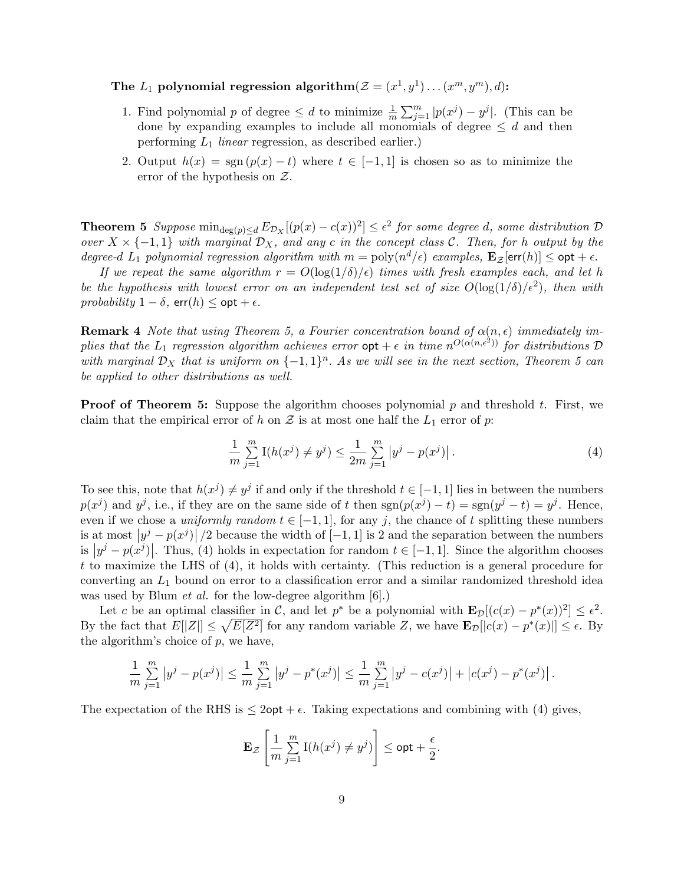## The  $L_1$  polynomial regression algorithm $(\mathcal{Z} = (x^1, y^1) \dots (x^m, y^m), d)$ :

- 1. Find polynomial p of degree  $\leq d$  to minimize  $\frac{1}{m}$  $\sum_m$  $\sum_{j=1}^{m} |p(x^j) - y^j|$ . (This can be done by expanding examples to include all monomials of degree  $\leq d$  and then performing  $L_1$  linear regression, as described earlier.)
- 2. Output  $h(x) = \text{sgn}(p(x) t)$  where  $t \in [-1, 1]$  is chosen so as to minimize the error of the hypothesis on Z.

**Theorem 5** Suppose  $\min_{\deg(p)\leq d} E_{\mathcal{D}_X}[(p(x)-c(x))^2] \leq \epsilon^2$  for some degree d, some distribution  $\mathcal{D}_Y$ over  $X \times \{-1,1\}$  with marginal  $\mathcal{D}_X$ , and any c in the concept class C. Then, for h output by the degree-d  $L_1$  polynomial regression algorithm with  $m = poly(n^d/\epsilon)$  examples,  $\mathbf{E}_{\mathcal{Z}}[\textsf{err}(h)] \leq \textsf{opt} + \epsilon$ .

If we repeat the same algorithm  $r = O(\log(1/\delta)/\epsilon)$  times with fresh examples each, and let h be the hypothesis with lowest error on an independent test set of size  $O(\log(1/\delta)/\epsilon^2)$ , then with probability  $1 - \delta$ , err $(h) <$  opt  $+ \epsilon$ .

**Remark 4** Note that using Theorem 5, a Fourier concentration bound of  $\alpha(n, \epsilon)$  immediately implies that the  $L_1$  regression algorithm achieves error  $\mathsf{opt} + \epsilon$  in time  $n^{O(\alpha(n,\epsilon^2))}$  for distributions  $\mathcal D$ with marginal  $\mathcal{D}_X$  that is uniform on  $\{-1,1\}^n$ . As we will see in the next section, Theorem 5 can be applied to other distributions as well.

**Proof of Theorem 5:** Suppose the algorithm chooses polynomial  $p$  and threshold  $t$ . First, we claim that the empirical error of h on Z is at most one half the  $L_1$  error of p:

$$
\frac{1}{m} \sum_{j=1}^{m} \mathcal{I}(h(x^j) \neq y^j) \le \frac{1}{2m} \sum_{j=1}^{m} |y^j - p(x^j)|.
$$
\n(4)

To see this, note that  $h(x^j) \neq y^j$  if and only if the threshold  $t \in [-1,1]$  lies in between the numbers  $p(x^j)$  and  $y^j$ , i.e., if they are on the same side of t then  $sgn(p(x^j) - t) = sgn(y^j - t) = y^j$ . Hence, even if we chose a *uniformly random*  $t \in [-1, 1]$ , for any j, the chance of t splitting these numbers is at most  $|y^j - p(x^j)|/2$  because the width of  $[-1, 1]$  is 2 and the separation between the numbers is  $|y^j - p(x^j)|$ . Thus, (4) holds in expectation for random  $t \in [-1, 1]$ . Since the algorithm chooses t to maximize the LHS of (4), it holds with certainty. (This reduction is a general procedure for converting an  $L_1$  bound on error to a classification error and a similar randomized threshold idea was used by Blum *et al.* for the low-degree algorithm  $[6]$ .)

Let c be an optimal classifier in C, and let  $p^*$  be a polynomial with  $\mathbf{E}_{\mathcal{D}}[(c(x)-p^*(x))^2] \leq \epsilon^2$ . By the fact that  $E[|Z|] \leq \sqrt{E[Z^2]}$  for any random variable Z, we have  $\mathbf{E}_{\mathcal{D}}[[c(x) - p^*(x)]] \leq \epsilon$ . By the algorithm's choice of  $p$ , we have,

$$
\frac{1}{m}\sum_{j=1}^{m}|y^{j}-p(x^{j})|\leq \frac{1}{m}\sum_{j=1}^{m}|y^{j}-p^{*}(x^{j})|\leq \frac{1}{m}\sum_{j=1}^{m}|y^{j}-c(x^{j})|+|c(x^{j})-p^{*}(x^{j})|.
$$

The expectation of the RHS is  $\leq 2$  opt +  $\epsilon$ . Taking expectations and combining with (4) gives,

$$
\mathbf{E}_{\mathcal{Z}}\left[\frac{1}{m}\sum_{j=1}^{m}\mathrm{I}(h(x^{j})\neq y^{j})\right]\leq \mathsf{opt}+\frac{\epsilon}{2}.
$$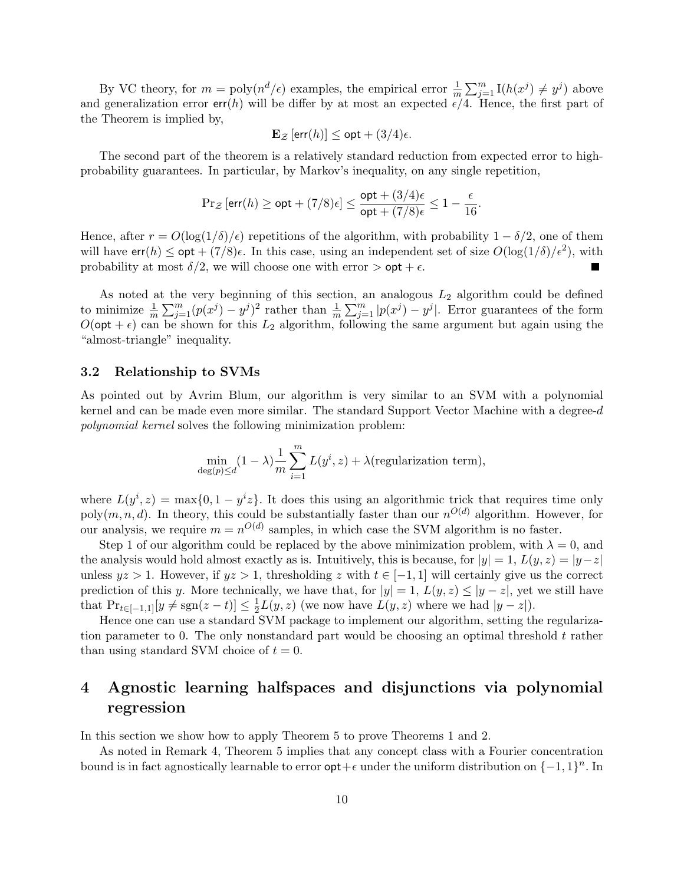By VC theory, for  $m = \text{poly}(n^d/\epsilon)$  examples, the empirical error  $\frac{1}{m}$  $\sum_m$  $_{j=1}^m$  I( $h(x^j) \neq y^j$ ) above and generalization error  $err(h)$  will be differ by at most an expected  $\epsilon/4$ . Hence, the first part of the Theorem is implied by,

$$
\mathbf{E}_{\mathcal{Z}}\left[\text{err}(h)\right] \le \text{opt} + (3/4)\epsilon.
$$

The second part of the theorem is a relatively standard reduction from expected error to highprobability guarantees. In particular, by Markov's inequality, on any single repetition,

$$
\Pr_{\mathcal{Z}}\left[\textsf{err}(h) \geq \textsf{opt} + (7/8)\epsilon\right] \leq \frac{\textsf{opt} + (3/4)\epsilon}{\textsf{opt} + (7/8)\epsilon} \leq 1 - \frac{\epsilon}{16}.
$$

Hence, after  $r = O(\log(1/\delta)/\epsilon)$  repetitions of the algorithm, with probability  $1 - \delta/2$ , one of them will have  $err(h) \leq opt + (7/8)\epsilon$ . In this case, using an independent set of size  $O(\log(1/\delta)/\epsilon^2)$ , with probability at most  $\delta/2$ , we will choose one with error  $>$  opt +  $\epsilon$ .

As noted at the very beginning of this section, an analogous  $L_2$  algorithm could be defined to minimize  $\frac{1}{m}$  $\frac{1}{\sqrt{m}}$  $\sum_{j=1}^{m} (p(x^j) - y^j)^2$  rather than  $\frac{1}{m}$ лг, а $\frac{m}{\sqrt{m}}$  $\sum_{j=1}^{m} |p(x^{j}) - y^{j}|$ . Error guarantees of the form  $O(\mathsf{opt} + \epsilon)$  can be shown for this  $L_2$  algorithm, following the same argument but again using the "almost-triangle" inequality.

### 3.2 Relationship to SVMs

As pointed out by Avrim Blum, our algorithm is very similar to an SVM with a polynomial kernel and can be made even more similar. The standard Support Vector Machine with a degree- $d$ polynomial kernel solves the following minimization problem:

$$
\min_{\deg(p)\le d}(1-\lambda)\frac{1}{m}\sum_{i=1}^m L(y^i, z) + \lambda(\text{regularization term}),
$$

where  $L(y^i, z) = \max\{0, 1 - y^i z\}$ . It does this using an algorithmic trick that requires time only poly $(m, n, d)$ . In theory, this could be substantially faster than our  $n^{O(d)}$  algorithm. However, for our analysis, we require  $m = n^{O(d)}$  samples, in which case the SVM algorithm is no faster.

Step 1 of our algorithm could be replaced by the above minimization problem, with  $\lambda = 0$ , and the analysis would hold almost exactly as is. Intuitively, this is because, for  $|y| = 1$ ,  $L(y, z) = |y-z|$ unless  $yz > 1$ . However, if  $yz > 1$ , thresholding z with  $t \in [-1, 1]$  will certainly give us the correct prediction of this y. More technically, we have that, for  $|y|=1$ ,  $L(y, z) \le |y-z|$ , yet we still have that  $Pr_{t \in [-1,1]}[y \neq \text{sgn}(z-t)] \leq \frac{1}{2}$  $\frac{1}{2}L(y, z)$  (we now have  $L(y, z)$  where we had  $|y - z|$ ).

Hence one can use a standard SVM package to implement our algorithm, setting the regularization parameter to 0. The only nonstandard part would be choosing an optimal threshold  $t$  rather than using standard SVM choice of  $t = 0$ .

# 4 Agnostic learning halfspaces and disjunctions via polynomial regression

In this section we show how to apply Theorem 5 to prove Theorems 1 and 2.

As noted in Remark 4, Theorem 5 implies that any concept class with a Fourier concentration bound is in fact agnostically learnable to error  $opt + \epsilon$  under the uniform distribution on  $\{-1, 1\}^n$ . In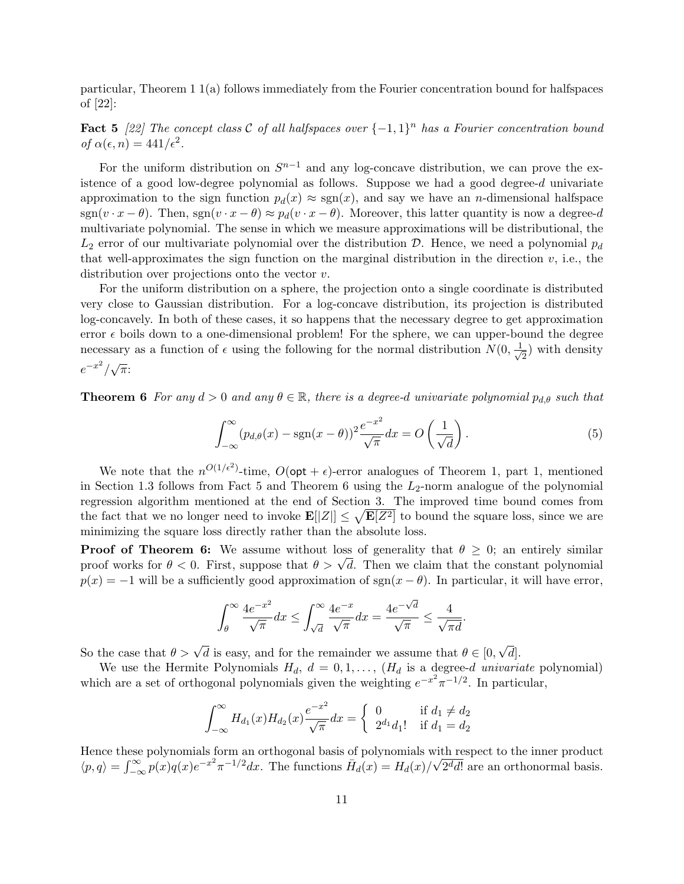particular, Theorem 1 1(a) follows immediately from the Fourier concentration bound for halfspaces of [22]:

**Fact 5** [22] The concept class C of all halfspaces over  $\{-1,1\}^n$  has a Fourier concentration bound of  $\alpha(\epsilon, n) = 441/\epsilon^2$ .

For the uniform distribution on  $S^{n-1}$  and any log-concave distribution, we can prove the existence of a good low-degree polynomial as follows. Suppose we had a good degree-d univariate approximation to the sign function  $p_d(x) \approx \text{sgn}(x)$ , and say we have an *n*-dimensional halfspace  $sgn(v \cdot x - \theta)$ . Then,  $sgn(v \cdot x - \theta) \approx p_d(v \cdot x - \theta)$ . Moreover, this latter quantity is now a degree-d multivariate polynomial. The sense in which we measure approximations will be distributional, the  $L_2$  error of our multivariate polynomial over the distribution D. Hence, we need a polynomial  $p_d$ that well-approximates the sign function on the marginal distribution in the direction  $v$ , i.e., the distribution over projections onto the vector v.

For the uniform distribution on a sphere, the projection onto a single coordinate is distributed very close to Gaussian distribution. For a log-concave distribution, its projection is distributed log-concavely. In both of these cases, it so happens that the necessary degree to get approximation error  $\epsilon$  boils down to a one-dimensional problem! For the sphere, we can upper-bound the degree necessary as a function of  $\epsilon$  using the following for the normal distribution  $N(0, \frac{1}{\sqrt{2\pi}})$  $\frac{1}{2}$ ) with density  $e^{-x^2}/\sqrt{\pi}$ 

**Theorem 6** For any  $d > 0$  and any  $\theta \in \mathbb{R}$ , there is a degree-d univariate polynomial  $p_{d,\theta}$  such that

$$
\int_{-\infty}^{\infty} (p_{d,\theta}(x) - \text{sgn}(x-\theta))^2 \frac{e^{-x^2}}{\sqrt{\pi}} dx = O\left(\frac{1}{\sqrt{d}}\right).
$$
 (5)

We note that the  $n^{O(1/\epsilon^2)}$ -time,  $O(\text{opt} + \epsilon)$ -error analogues of Theorem 1, part 1, mentioned in Section 1.3 follows from Fact 5 and Theorem 6 using the  $L_2$ -norm analogue of the polynomial regression algorithm mentioned at the end of Section 3. The improved time bound comes from the fact that we no longer need to invoke  $\mathbf{E}[[Z]] \leq \sqrt{\mathbf{E}[Z^2]}$  to bound the square loss, since we are minimizing the square loss directly rather than the absolute loss.

**Proof of Theorem 6:** We assume without loss of generality that  $\theta \geq 0$ ; an entirely similar **Proof of Theorem 6:** We assume without loss of generality that  $\theta \geq 0$ ; an entirely similar proof works for  $\theta < 0$ . First, suppose that  $\theta > \sqrt{d}$ . Then we claim that the constant polynomial  $p(x) = -1$  will be a sufficiently good approximation of sgn( $x - \theta$ ). In particular, it will have error,

$$
\int_{\theta}^{\infty} \frac{4e^{-x^2}}{\sqrt{\pi}} dx \le \int_{\sqrt{d}}^{\infty} \frac{4e^{-x}}{\sqrt{\pi}} dx = \frac{4e^{-\sqrt{d}}}{\sqrt{\pi}} \le \frac{4}{\sqrt{\pi d}}.
$$

So the case that  $\theta > \sqrt{d}$  is easy, and for the remainder we assume that  $\theta \in [0,$ √  $d$ .

We use the Hermite Polynomials  $H_d$ ,  $d = 0, 1, \ldots, (H_d$  is a degree-d univariate polynomial) which are a set of orthogonal polynomials given the weighting  $e^{-x^2}\pi^{-1/2}$ . In particular,

$$
\int_{-\infty}^{\infty} H_{d_1}(x) H_{d_2}(x) \frac{e^{-x^2}}{\sqrt{\pi}} dx = \begin{cases} 0 & \text{if } d_1 \neq d_2 \\ 2^{d_1} d_1! & \text{if } d_1 = d_2 \end{cases}
$$

Hence these polynomials form an orthogonal basis of polynomials with respect to the inner product  $\langle p, q \rangle = \int_{0}^{\infty}$  $\int_{-\infty}^{\infty} p(x)q(x)e^{-x^2}\pi^{-1/2}dx$ . The functions  $\bar{H}_d(x) = H_d(x)/\sqrt{2^d d!}$  are an orthonormal basis.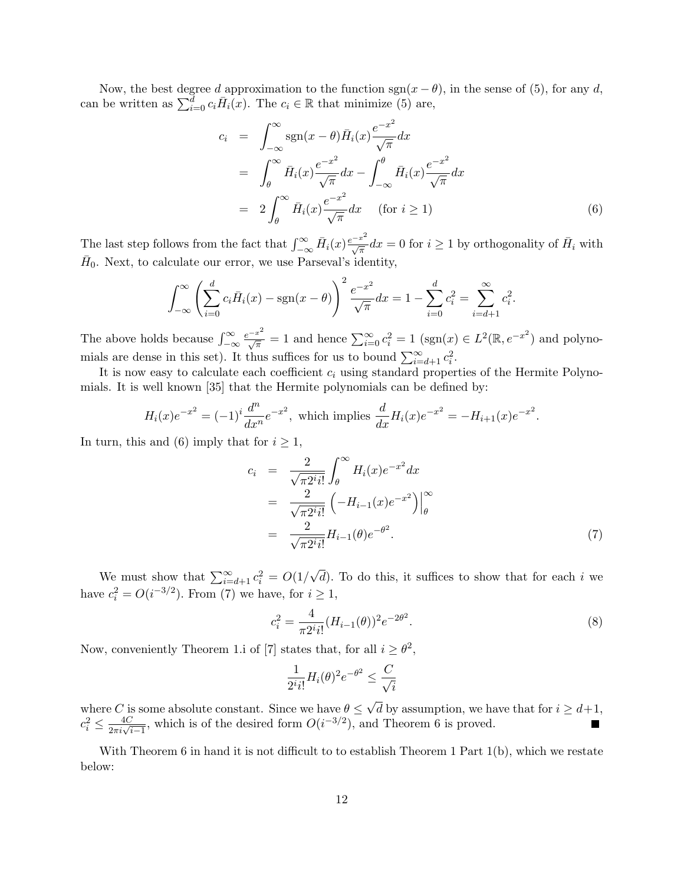Now, the best degree d approximation to the function  $sgn(x - \theta)$ , in the sense of (5), for any d, Now, the best degree a approximation to the function sgn(x – c<br>can be written as  $\sum_{i=0}^{d} c_i \overline{H}_i(x)$ . The  $c_i \in \mathbb{R}$  that minimize (5) are,

$$
c_i = \int_{-\infty}^{\infty} \operatorname{sgn}(x - \theta) \overline{H}_i(x) \frac{e^{-x^2}}{\sqrt{\pi}} dx
$$
  
\n
$$
= \int_{\theta}^{\infty} \overline{H}_i(x) \frac{e^{-x^2}}{\sqrt{\pi}} dx - \int_{-\infty}^{\theta} \overline{H}_i(x) \frac{e^{-x^2}}{\sqrt{\pi}} dx
$$
  
\n
$$
= 2 \int_{\theta}^{\infty} \overline{H}_i(x) \frac{e^{-x^2}}{\sqrt{\pi}} dx \quad \text{(for } i \ge 1)
$$
 (6)

The last step follows from the fact that  $\int_{-\infty}^{\infty} \bar{H}_i(x) \frac{e^{-x^2}}{\sqrt{\pi}} dx = 0$  for  $i \ge 1$  by orthogonality of  $\bar{H}_i$  with  $\bar{H}_0$ . Next, to calculate our error, we use Parseval's identity,

$$
\int_{-\infty}^{\infty} \left( \sum_{i=0}^{d} c_i \overline{H}_i(x) - \text{sgn}(x - \theta) \right)^2 \frac{e^{-x^2}}{\sqrt{\pi}} dx = 1 - \sum_{i=0}^{d} c_i^2 = \sum_{i=d+1}^{\infty} c_i^2.
$$

The above holds because  $\int_{-\infty}^{\infty}$  $\frac{e^{-x^2}}{\sqrt{\pi}} = 1$  and hence  $\sum_{i=0}^{\infty} c_i^2 = 1$  (sgn(x)  $\in L^2(\mathbb{R}, e^{-x^2})$  and polynomials are dense in this set). It thus suffices for us to bound  $\sum_{i=d+1}^{\infty} c_i^2$ .

It is now easy to calculate each coefficient  $c_i$  using standard properties of the Hermite Polynomials. It is well known [35] that the Hermite polynomials can be defined by:

$$
H_i(x)e^{-x^2} = (-1)^i \frac{d^n}{dx^n} e^{-x^2}, \text{ which implies } \frac{d}{dx} H_i(x)e^{-x^2} = -H_{i+1}(x)e^{-x^2}.
$$

In turn, this and (6) imply that for  $i \geq 1$ ,

$$
c_{i} = \frac{2}{\sqrt{\pi 2^{i} i!}} \int_{\theta}^{\infty} H_{i}(x) e^{-x^{2}} dx
$$
  
= 
$$
\frac{2}{\sqrt{\pi 2^{i} i!}} \left( -H_{i-1}(x) e^{-x^{2}} \right) \Big|_{\theta}^{\infty}
$$
  
= 
$$
\frac{2}{\sqrt{\pi 2^{i} i!}} H_{i-1}(\theta) e^{-\theta^{2}}.
$$
 (7)

We must show that  $\sum_{i=d+1}^{\infty} c_i^2 = O(1)$ √  $d$ ). To do this, it suffices to show that for each i we have  $c_i^2 = O(i^{-3/2})$ . From (7) we have, for  $i \geq 1$ ,

$$
c_i^2 = \frac{4}{\pi 2^i i!} (H_{i-1}(\theta))^2 e^{-2\theta^2}.
$$
\n(8)

Now, conveniently Theorem 1.i of [7] states that, for all  $i \geq \theta^2$ ,

$$
\frac{1}{2^i i!} H_i(\theta)^2 e^{-\theta^2} \le \frac{C}{\sqrt{i}}
$$

where C is some absolute constant. Since we have  $\theta \leq$ √ d by assumption, we have that for  $i \geq d+1$ ,  $c_i^2 \leq \frac{4C}{2\pi i \sqrt{i-1}}$ , which is of the desired form  $O(i^{-3/2})$ , and Theorem 6 is proved.

With Theorem 6 in hand it is not difficult to to establish Theorem 1 Part 1(b), which we restate below: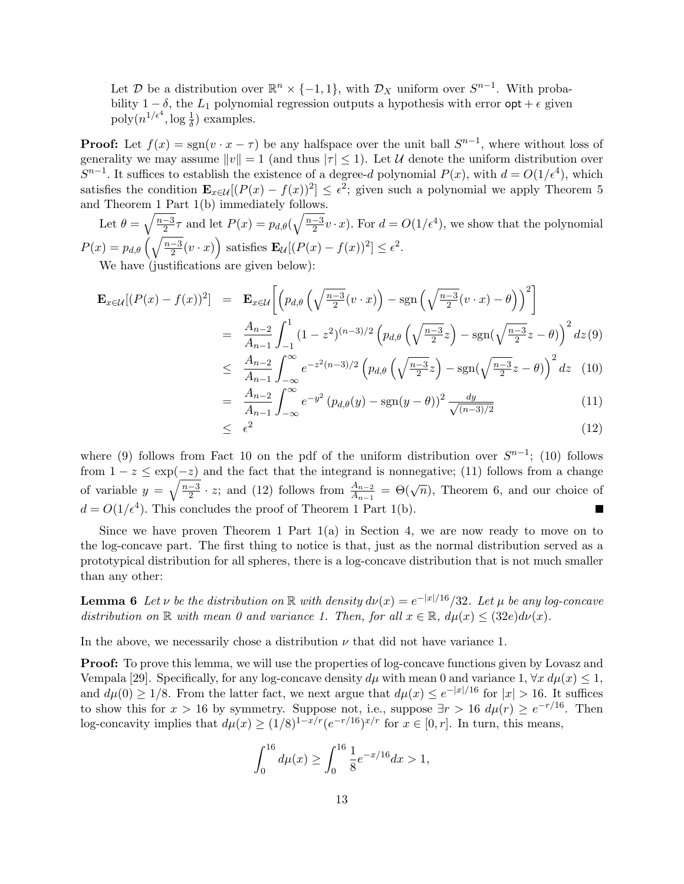Let D be a distribution over  $\mathbb{R}^n \times \{-1,1\}$ , with  $\mathcal{D}_X$  uniform over  $S^{n-1}$ . With probability  $1 - \delta$ , the  $L_1$  polynomial regression outputs a hypothesis with error  $\mathsf{opt} + \epsilon$  given  $\text{poly}(n^{1/\epsilon^4}, \log \frac{1}{\delta})$  examples.

**Proof:** Let  $f(x) = sgn(v \cdot x - \tau)$  be any halfspace over the unit ball  $S^{n-1}$ , where without loss of generality we may assume  $||v|| = 1$  (and thus  $|\tau| \leq 1$ ). Let U denote the uniform distribution over  $S^{n-1}$ . It suffices to establish the existence of a degree-d polynomial  $P(x)$ , with  $d = O(1/\epsilon^4)$ , which satisfies the condition  $\mathbf{E}_{x \in \mathcal{U}}[(P(x) - f(x))^2] \leq \epsilon^2$ ; given such a polynomial we apply Theorem 5 and Theorem  $\frac{1 \text{ Part } 1(b)}{2}$  immediately follows.

Let  $\theta = \sqrt{\frac{n-3}{2}}$  $\frac{-3}{2}\tau$  and let  $P(x) = p_{d,\theta}(\sqrt{\frac{n-3}{2}})$  $\frac{-3}{2}v \cdot x$ ). For  $d = O(1/\epsilon^4)$ , we show that the polynomial  $P(x) = p_{d,\theta} \left(\sqrt{\frac{n-3}{2}}\right)$  $\frac{-3}{2}(v \cdot x)$ ´ satisfies  $\mathbf{E}_{\mathcal{U}}[(P(x) - f(x))^2] \leq \epsilon^2$ .

We have (justifications are given below):

$$
\mathbf{E}_{x \in \mathcal{U}}[(P(x) - f(x))^2] = \mathbf{E}_{x \in \mathcal{U}} \left[ \left( p_{d,\theta} \left( \sqrt{\frac{n-3}{2}} (v \cdot x) \right) - \text{sgn} \left( \sqrt{\frac{n-3}{2}} (v \cdot x) - \theta \right) \right)^2 \right]
$$
  
\n
$$
= \frac{A_{n-2}}{A_{n-1}} \int_{-1}^1 (1 - z^2)^{(n-3)/2} \left( p_{d,\theta} \left( \sqrt{\frac{n-3}{2}} z \right) - \text{sgn} \left( \sqrt{\frac{n-3}{2}} z - \theta \right) \right)^2 dz(9)
$$
  
\n
$$
\leq \frac{A_{n-2}}{A_{n-1}} \int_{-\infty}^{\infty} e^{-z^2 (n-3)/2} \left( p_{d,\theta} \left( \sqrt{\frac{n-3}{2}} z \right) - \text{sgn} \left( \sqrt{\frac{n-3}{2}} z - \theta \right) \right)^2 dz(10)
$$
  
\n
$$
A_{n-2} \int_{-\infty}^{\infty} e^{-y^2} (v \cdot (x) - \text{sgn}(y - \theta))^2 dy \tag{11}
$$

$$
= \frac{A_{n-2}}{A_{n-1}} \int_{-\infty}^{\infty} e^{-y^2} (p_{d,\theta}(y) - \text{sgn}(y-\theta))^2 \frac{dy}{\sqrt{(n-3)/2}}
$$
(11)

$$
\leq \epsilon^2 \tag{12}
$$

where (9) follows from Fact 10 on the pdf of the uniform distribution over  $S^{n-1}$ ; (10) follows from  $1 - z \le \exp(-z)$  and the fact that the integrand is nonnegative; (11) follows from a change of variable  $y = \sqrt{\frac{n-3}{2}}$  $\frac{2}{2}$  · z; and (12) follows from  $\frac{A_{n-2}}{A_{n-1}} = \Theta(\sqrt{n})$ , Theorem 6, and our choice of  $d = O(1/\epsilon^4)$ . This concludes the proof of Theorem 1 Part 1(b).

Since we have proven Theorem 1 Part  $1(a)$  in Section 4, we are now ready to move on to the log-concave part. The first thing to notice is that, just as the normal distribution served as a prototypical distribution for all spheres, there is a log-concave distribution that is not much smaller than any other:

**Lemma 6** Let v be the distribution on R with density  $d\nu(x) = e^{-|x|/16}/32$ . Let  $\mu$  be any log-concave distribution on  $\mathbb R$  with mean 0 and variance 1. Then, for all  $x \in \mathbb R$ ,  $d\mu(x) \leq (32e) d\nu(x)$ .

In the above, we necessarily chose a distribution  $\nu$  that did not have variance 1.

**Proof:** To prove this lemma, we will use the properties of log-concave functions given by Lovasz and Vempala [29]. Specifically, for any log-concave density  $d\mu$  with mean 0 and variance 1,  $\forall x \, d\mu(x) \leq 1$ , and  $d\mu(0) \geq 1/8$ . From the latter fact, we next argue that  $d\mu(x) \leq e^{-|x|/16}$  for  $|x| > 16$ . It suffices to show this for  $x > 16$  by symmetry. Suppose not, i.e., suppose  $\exists r > 16$   $d\mu(r) \geq e^{-r/16}$ . Then log-concavity implies that  $d\mu(x) \ge (1/8)^{1-x/r} (e^{-r/16})^{x/r}$  for  $x \in [0, r]$ . In turn, this means,

$$
\int_0^{16} d\mu(x) \ge \int_0^{16} \frac{1}{8} e^{-x/16} dx > 1,
$$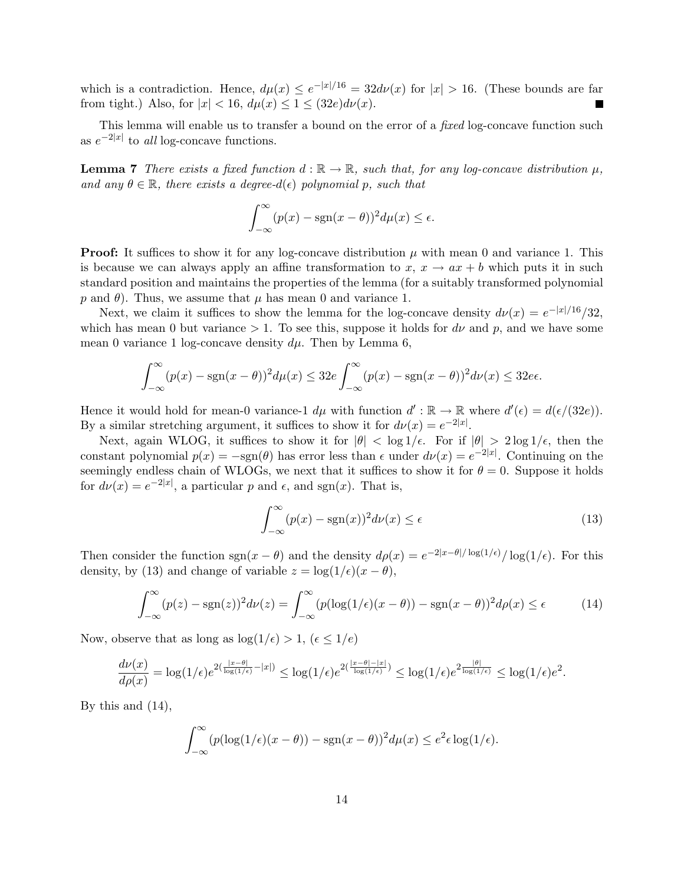which is a contradiction. Hence,  $d\mu(x) \leq e^{-|x|/16} = 32d\nu(x)$  for  $|x| > 16$ . (These bounds are far from tight.) Also, for  $|x| < 16$ ,  $d\mu(x) \leq 1 \leq (32e)d\nu(x)$ .

This lemma will enable us to transfer a bound on the error of a *fixed* log-concave function such as  $e^{-2|x|}$  to all log-concave functions.

**Lemma 7** There exists a fixed function  $d : \mathbb{R} \to \mathbb{R}$ , such that, for any log-concave distribution  $\mu$ , and any  $\theta \in \mathbb{R}$ , there exists a degree- $d(\epsilon)$  polynomial p, such that

$$
\int_{-\infty}^{\infty} (p(x) - \operatorname{sgn}(x - \theta))^2 d\mu(x) \le \epsilon.
$$

**Proof:** It suffices to show it for any log-concave distribution  $\mu$  with mean 0 and variance 1. This is because we can always apply an affine transformation to  $x, x \rightarrow ax + b$  which puts it in such standard position and maintains the properties of the lemma (for a suitably transformed polynomial p and  $\theta$ ). Thus, we assume that  $\mu$  has mean 0 and variance 1.

Next, we claim it suffices to show the lemma for the log-concave density  $d\nu(x) = e^{-|x|/16}/32$ , which has mean 0 but variance  $> 1$ . To see this, suppose it holds for  $d\nu$  and p, and we have some mean 0 variance 1 log-concave density  $d\mu$ . Then by Lemma 6,

$$
\int_{-\infty}^{\infty} (p(x) - \operatorname{sgn}(x - \theta))^2 d\mu(x) \le 32e \int_{-\infty}^{\infty} (p(x) - \operatorname{sgn}(x - \theta))^2 d\nu(x) \le 32e\epsilon.
$$

Hence it would hold for mean-0 variance-1  $d\mu$  with function  $d': \mathbb{R} \to \mathbb{R}$  where  $d'(\epsilon) = d(\epsilon/(32e))$ . By a similar stretching argument, it suffices to show it for  $d\nu(x) = e^{-2|x|}$ .

Next, again WLOG, it suffices to show it for  $|\theta| < \log 1/\epsilon$ . For if  $|\theta| > 2 \log 1/\epsilon$ , then the constant polynomial  $p(x) = -\text{sgn}(\theta)$  has error less than  $\epsilon$  under  $d\nu(x) = e^{-2|x|}$ . Continuing on the seemingly endless chain of WLOGs, we next that it suffices to show it for  $\theta = 0$ . Suppose it holds for  $d\nu(x) = e^{-2|x|}$ , a particular p and  $\epsilon$ , and sgn(x). That is,

$$
\int_{-\infty}^{\infty} (p(x) - \text{sgn}(x))^2 d\nu(x) \le \epsilon \tag{13}
$$

Then consider the function sgn( $x - \theta$ ) and the density  $d\rho(x) = e^{-2|x-\theta|/\log(1/\epsilon)}/\log(1/\epsilon)$ . For this density, by (13) and change of variable  $z = \log(1/\epsilon)(x - \theta)$ ,

$$
\int_{-\infty}^{\infty} (p(z) - \text{sgn}(z))^2 d\nu(z) = \int_{-\infty}^{\infty} (p(\log(1/\epsilon)(x - \theta)) - \text{sgn}(x - \theta))^2 d\rho(x) \le \epsilon \tag{14}
$$

Now, observe that as long as  $log(1/\epsilon) > 1$ ,  $(\epsilon \leq 1/e)$ 

$$
\frac{d\nu(x)}{d\rho(x)} = \log(1/\epsilon)e^{2(\frac{|x-\theta|}{\log(1/\epsilon)}-|x|)} \le \log(1/\epsilon)e^{2(\frac{|x-\theta|-|x|}{\log(1/\epsilon)})} \le \log(1/\epsilon)e^{2\frac{|\theta|}{\log(1/\epsilon)}} \le \log(1/\epsilon)e^2.
$$

By this and (14),

$$
\int_{-\infty}^{\infty} (p(\log(1/\epsilon)(x-\theta)) - \operatorname{sgn}(x-\theta))^2 d\mu(x) \le e^2 \epsilon \log(1/\epsilon).
$$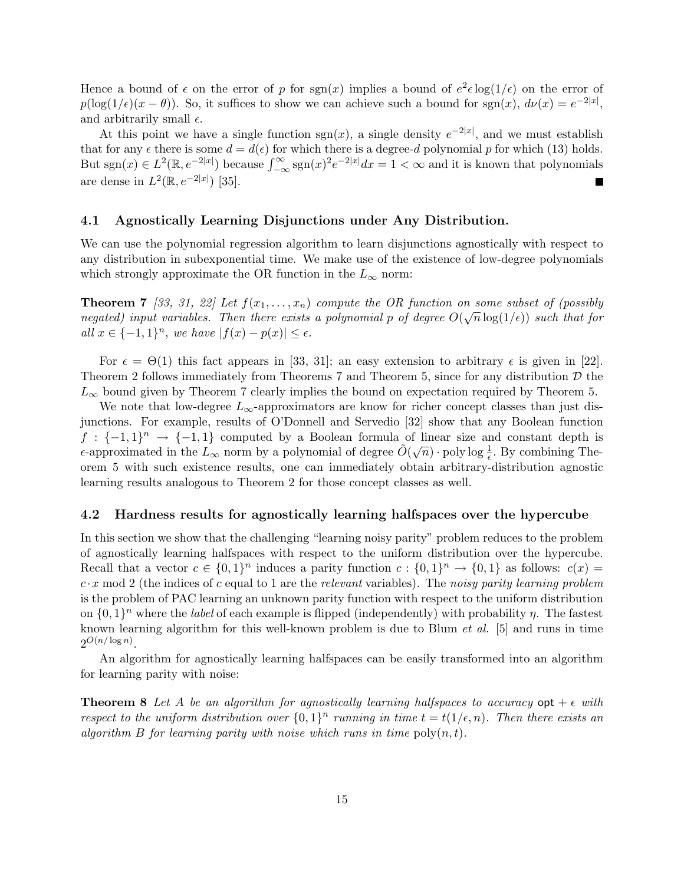Hence a bound of  $\epsilon$  on the error of p for sgn(x) implies a bound of  $e^2 \epsilon \log(1/\epsilon)$  on the error of  $p(\log(1/\epsilon)(x-\theta))$ . So, it suffices to show we can achieve such a bound for sgn(x),  $d\nu(x) = e^{-2|x|}$ , and arbitrarily small  $\epsilon$ .

At this point we have a single function  $sgn(x)$ , a single density  $e^{-2|x|}$ , and we must establish that for any  $\epsilon$  there is some  $d = d(\epsilon)$  for which there is a degree-d polynomial p for which (13) holds. that for any  $\epsilon$  there is some  $a = a(\epsilon)$  for which there is a degree- $a$  polynomial  $p$  for which (13) holds.<br>But sgn(x)  $\in L^2(\mathbb{R}, e^{-2|x|})$  because  $\int_{-\infty}^{\infty}$  sgn(x)<sup>2</sup> $e^{-2|x|}dx = 1 < \infty$  and it is known that polynomial are dense in  $L^2(\mathbb{R}, e^{-2|x|})$  [35].

### 4.1 Agnostically Learning Disjunctions under Any Distribution.

We can use the polynomial regression algorithm to learn disjunctions agnostically with respect to any distribution in subexponential time. We make use of the existence of low-degree polynomials which strongly approximate the OR function in the  $L_{\infty}$  norm:

**Theorem 7** [33, 31, 22] Let  $f(x_1, \ldots, x_n)$  compute the OR function on some subset of (possibly **Theorem T** [33, 31, 22] Let  $f(x_1,...,x_n)$  compute the OR function on some subset of (possibily negated) input variables. Then there exists a polynomial p of degree  $O(\sqrt{n}\log(1/\epsilon))$  such that for all  $x \in \{-1,1\}^n$ , we have  $|f(x) - p(x)| \leq \epsilon$ .

For  $\epsilon = \Theta(1)$  this fact appears in [33, 31]; an easy extension to arbitrary  $\epsilon$  is given in [22]. Theorem 2 follows immediately from Theorems 7 and Theorem 5, since for any distribution  $\mathcal D$  the  $L_{\infty}$  bound given by Theorem 7 clearly implies the bound on expectation required by Theorem 5.

We note that low-degree  $L_{\infty}$ -approximators are know for richer concept classes than just disjunctions. For example, results of O'Donnell and Servedio [32] show that any Boolean function  $f: \{-1,1\}^n \rightarrow \{-1,1\}$  computed by a Boolean formula of linear size and constant depth is  $\epsilon$ -approximated in the  $L_{\infty}$  norm by a polynomial of degree  $\tilde{O}(\sqrt{n})$  · poly log  $\frac{1}{\epsilon}$ . By combining Theorem 5 with such existence results, one can immediately obtain arbitrary-distribution agnostic learning results analogous to Theorem 2 for those concept classes as well.

### 4.2 Hardness results for agnostically learning halfspaces over the hypercube

In this section we show that the challenging "learning noisy parity" problem reduces to the problem of agnostically learning halfspaces with respect to the uniform distribution over the hypercube. Recall that a vector  $c \in \{0,1\}^n$  induces a parity function  $c : \{0,1\}^n \to \{0,1\}$  as follows:  $c(x) =$  $c \cdot x \mod 2$  (the indices of c equal to 1 are the relevant variables). The noisy parity learning problem is the problem of PAC learning an unknown parity function with respect to the uniform distribution on  $\{0,1\}^n$  where the *label* of each example is flipped (independently) with probability  $\eta$ . The fastest known learning algorithm for this well-known problem is due to Blum et al. [5] and runs in time  $2^{O(n/\log n)}$ .

An algorithm for agnostically learning halfspaces can be easily transformed into an algorithm for learning parity with noise:

**Theorem 8** Let A be an algorithm for agnostically learning halfspaces to accuracy  $\phi$  opt +  $\epsilon$  with respect to the uniform distribution over  $\{0,1\}^n$  running in time  $t = t(1/\epsilon,n)$ . Then there exists an algorithm B for learning parity with noise which runs in time  $\text{poly}(n, t)$ .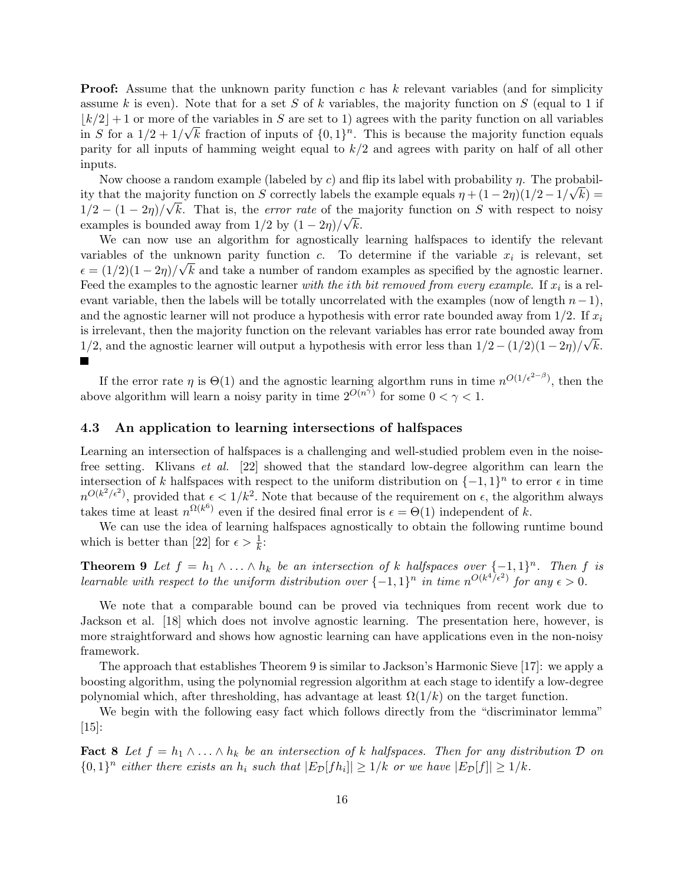**Proof:** Assume that the unknown parity function c has k relevant variables (and for simplicity assume k is even). Note that for a set S of k variables, the majority function on S (equal to 1 if  $\lfloor k/2 \rfloor + 1$  or more of the variables in S are set to 1) agrees with the parity function on all variables in S for a  $1/2 + 1/\sqrt{k}$  fraction of inputs of  $\{0, 1\}^n$ . This is because the majority function equals parity for all inputs of hamming weight equal to  $k/2$  and agrees with parity on half of all other inputs.

Now choose a random example (labeled by c) and flip its label with probability  $\eta$ . The probability that the majority function on S correctly labels the example equals  $\eta + (1 - 2\eta)(1/2 - 1/\sqrt{k}) =$  $1/2 - (1 - 2\eta)/\sqrt{k}$ . That is, the *error rate* of the majority function on S with respect to noisy examples is bounded away from  $1/2$  by  $(1-2\eta)/\sqrt{k}$ .

We can now use an algorithm for agnostically learning halfspaces to identify the relevant variables of the unknown parity function c. To determine if the variable  $x_i$  is relevant, set  $\epsilon = (1/2)(1-2\eta)/\sqrt{k}$  and take a number of random examples as specified by the agnostic learner. Feed the examples to the agnostic learner *with the ith bit removed from every example*. If  $x_i$  is a relevant variable, then the labels will be totally uncorrelated with the examples (now of length  $n-1$ ), and the agnostic learner will not produce a hypothesis with error rate bounded away from  $1/2$ . If  $x_i$ is irrelevant, then the majority function on the relevant variables has error rate bounded away from 1/2, and the agnostic learner will output a hypothesis with error less than  $1/2 - (1/2)(1-2\eta)/\sqrt{k}$ .  $\blacksquare$ 

If the error rate  $\eta$  is  $\Theta(1)$  and the agnostic learning algorthm runs in time  $n^{O(1/\epsilon^{2-\beta})}$ , then the above algorithm will learn a noisy parity in time  $2^{O(n^{\gamma})}$  for some  $0 < \gamma < 1$ .

### 4.3 An application to learning intersections of halfspaces

Learning an intersection of halfspaces is a challenging and well-studied problem even in the noisefree setting. Klivans et al. [22] showed that the standard low-degree algorithm can learn the intersection of k halfspaces with respect to the uniform distribution on  $\{-1,1\}^n$  to error  $\epsilon$  in time  $n^{O(k^2/\epsilon^2)}$ , provided that  $\epsilon < 1/k^2$ . Note that because of the requirement on  $\epsilon$ , the algorithm always takes time at least  $n^{\Omega(k^6)}$  even if the desired final error is  $\epsilon = \Theta(1)$  independent of k.

We can use the idea of learning halfspaces agnostically to obtain the following runtime bound which is better than [22] for  $\epsilon > \frac{1}{k}$ :

**Theorem 9** Let  $f = h_1 \wedge \ldots \wedge h_k$  be an intersection of k halfspaces over  $\{-1,1\}^n$ . Then f is learnable with respect to the uniform distribution over  $\{-1,1\}^n$  in time  $n^{O(k^4/\epsilon^2)}$  for any  $\epsilon > 0$ .

We note that a comparable bound can be proved via techniques from recent work due to Jackson et al. [18] which does not involve agnostic learning. The presentation here, however, is more straightforward and shows how agnostic learning can have applications even in the non-noisy framework.

The approach that establishes Theorem 9 is similar to Jackson's Harmonic Sieve [17]: we apply a boosting algorithm, using the polynomial regression algorithm at each stage to identify a low-degree polynomial which, after thresholding, has advantage at least  $\Omega(1/k)$  on the target function.

We begin with the following easy fact which follows directly from the "discriminator lemma"  $|15|$ :

**Fact 8** Let  $f = h_1 \wedge \ldots \wedge h_k$  be an intersection of k halfspaces. Then for any distribution D on  $\{0,1\}^n$  either there exists an  $h_i$  such that  $|E_{\mathcal{D}}[fh_i]| \geq 1/k$  or we have  $|E_{\mathcal{D}}[f]| \geq 1/k$ .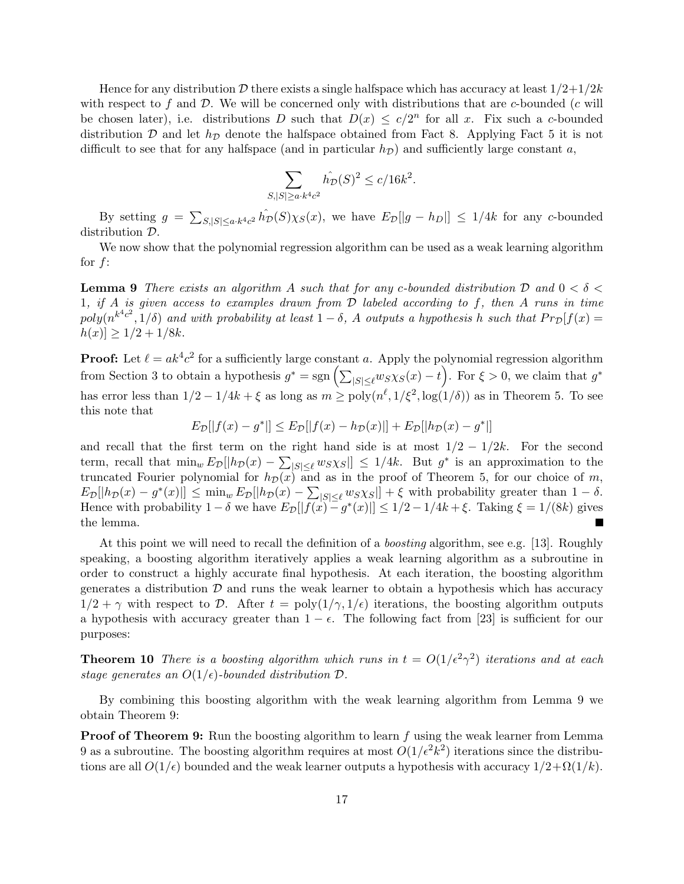Hence for any distribution D there exists a single halfspace which has accuracy at least  $1/2+1/2k$ with respect to f and  $\mathcal{D}$ . We will be concerned only with distributions that are c-bounded (c will be chosen later), i.e. distributions D such that  $D(x) \leq c/2^n$  for all x. Fix such a c-bounded distribution  $\mathcal D$  and let  $h_{\mathcal D}$  denote the halfspace obtained from Fact 8. Applying Fact 5 it is not difficult to see that for any halfspace (and in particular  $h<sub>D</sub>$ ) and sufficiently large constant a,

$$
\sum_{|S| \ge a \cdot k^4 c^2} \hat{h_D}(S)^2 \le c/16k^2.
$$

By setting  $g =$  $\overline{ }$  $S_{|S|\leq a\cdot k^4c^2} \hat{h_D}(S)\chi_S(x)$ , we have  $E_{\mathcal{D}}[|g-h_D|] \leq 1/4k$  for any c-bounded distribution D.

We now show that the polynomial regression algorithm can be used as a weak learning algorithm for  $f$ :

**Lemma 9** There exists an algorithm A such that for any c-bounded distribution D and  $0 < \delta <$ 1, if A is given access to examples drawn from  $D$  labeled according to f, then A runs in time  $poly(n^{k^4c^2},1/\delta)$  and with probability at least  $1-\delta$ , A outputs a hypothesis h such that  $Pr_{\mathcal{D}}[f(x)]$  $|h(x)| \geq 1/2 + 1/8k$ .

**Proof:** Let  $\ell = ak^4c^2$  for a sufficiently large constant a. Apply the polynomial regression algorithm **Proof:** Let  $\ell = a\kappa^T c^2$  for a sufficiently large constant a. Apply the polynomial regression algorithm<br>from Section 3 to obtain a hypothesis  $g^* = sgn\left(\sum_{|S| \leq \ell} w_{S} \chi_{S}(x) - t\right)$ . For  $\xi > 0$ , we claim that  $g^*$ has error less than  $1/2 - 1/4k + \xi$  as long as  $m \geq \text{poly}(n^{\ell}, 1/\xi^2, \log(1/\delta))$  as in Theorem 5. To see this note that

$$
E_{\mathcal{D}}[|f(x) - g^*|] \le E_{\mathcal{D}}[|f(x) - h_{\mathcal{D}}(x)|] + E_{\mathcal{D}}[|h_{\mathcal{D}}(x) - g^*|]
$$

and recall that the first term on the right hand side is at most  $1/2 - 1/2k$ . For the second term, recall that  $\min_w E_{\mathcal{D}}[|h_{\mathcal{D}}(x) - \sum_{|S| \leq \ell} w_S \chi_S|] \leq 1/4k$ . But  $g^*$  is an approximation to the truncated Fourier polynomial for  $h_{\mathcal{D}}(x)$  and as in the proof of Theorem 5, for our choice of m,  $E_{\mathcal{D}}[h_{\mathcal{D}}(x) - g^*(x)] \leq \min_w E_{\mathcal{D}}[h_{\mathcal{D}}(x) - \sum_{|S| \leq \ell} w_S \chi_S] + \xi$  with probability greater than  $1 - \delta$ . Hence with probability  $1-\delta$  we have  $E_{\mathcal{D}}[|f(x)-g^*(x)|] \leq 1/2 - 1/4k + \xi$ . Taking  $\xi = 1/(8k)$  gives the lemma. П

At this point we will need to recall the definition of a boosting algorithm, see e.g. [13]. Roughly speaking, a boosting algorithm iteratively applies a weak learning algorithm as a subroutine in order to construct a highly accurate final hypothesis. At each iteration, the boosting algorithm generates a distribution  $\mathcal D$  and runs the weak learner to obtain a hypothesis which has accuracy  $1/2 + \gamma$  with respect to D. After  $t = \text{poly}(1/\gamma, 1/\epsilon)$  iterations, the boosting algorithm outputs a hypothesis with accuracy greater than  $1 - \epsilon$ . The following fact from [23] is sufficient for our purposes:

**Theorem 10** There is a boosting algorithm which runs in  $t = O(1/\epsilon^2 \gamma^2)$  iterations and at each stage generates an  $O(1/\epsilon)$ -bounded distribution  $\mathcal{D}$ .

By combining this boosting algorithm with the weak learning algorithm from Lemma 9 we obtain Theorem 9:

**Proof of Theorem 9:** Run the boosting algorithm to learn  $f$  using the weak learner from Lemma 9 as a subroutine. The boosting algorithm requires at most  $O(1/\epsilon^2 k^2)$  iterations since the distributions are all  $O(1/\epsilon)$  bounded and the weak learner outputs a hypothesis with accuracy  $1/2+\Omega(1/k)$ .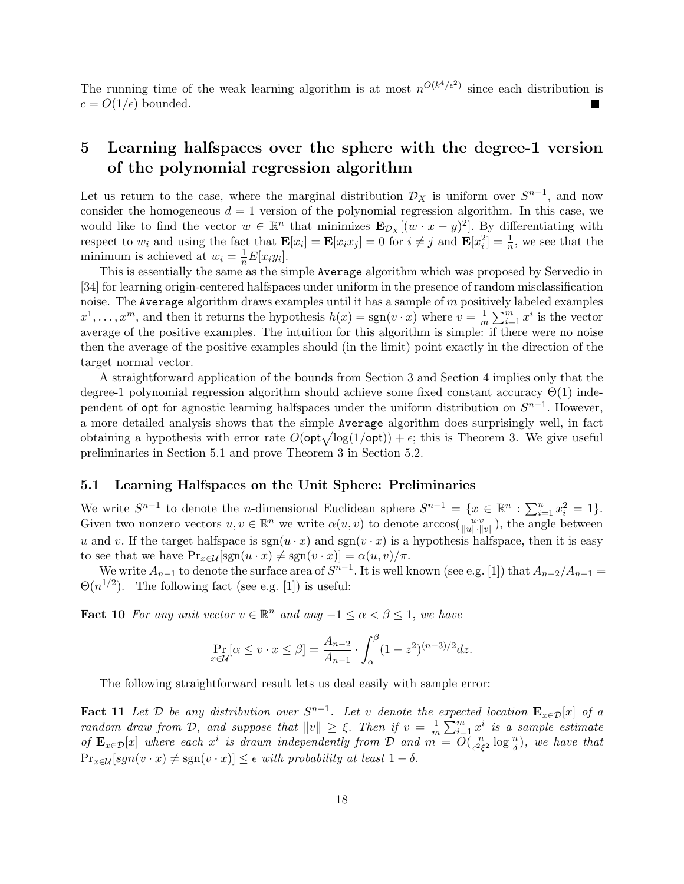The running time of the weak learning algorithm is at most  $n^{O(k^4/\epsilon^2)}$  since each distribution is  $c = O(1/\epsilon)$  bounded.

## 5 Learning halfspaces over the sphere with the degree-1 version of the polynomial regression algorithm

Let us return to the case, where the marginal distribution  $\mathcal{D}_X$  is uniform over  $S^{n-1}$ , and now consider the homogeneous  $d = 1$  version of the polynomial regression algorithm. In this case, we would like to find the vector  $w \in \mathbb{R}^n$  that minimizes  $\mathbf{E}_{\mathcal{D}_X}[(w \cdot x - y)^2]$ . By differentiating with respect to  $w_i$  and using the fact that  $\mathbf{E}[x_i] = \mathbf{E}[x_i x_j] = 0$  for  $i \neq j$  and  $\mathbf{E}[x_i^2] = \frac{1}{n}$ , we see that the minimum is achieved at  $w_i = \frac{1}{n} E[x_i y_i].$ 

This is essentially the same as the simple Average algorithm which was proposed by Servedio in [34] for learning origin-centered halfspaces under uniform in the presence of random misclassification noise. The Average algorithm draws examples until it has a sample of  $m$  positively labeled examples  $x^1, \ldots, x^m$ , and then it returns the hypothesis  $h(x) = \text{sgn}(\overline{v} \cdot x)$  where  $\overline{v} = \frac{1}{m}$  $\overline{m}$  $\sum_{k=1}^{\infty}$  $_{i=1}^m x^i$  is the vector average of the positive examples. The intuition for this algorithm is simple: if there were no noise then the average of the positive examples should (in the limit) point exactly in the direction of the target normal vector.

A straightforward application of the bounds from Section 3 and Section 4 implies only that the degree-1 polynomial regression algorithm should achieve some fixed constant accuracy  $\Theta(1)$  independent of opt for agnostic learning halfspaces under the uniform distribution on  $S^{n-1}$ . However, a more detailed analysis shows that the simple Average algorithm does surprisingly well, in fact a more detailed analysis shows that the simple **Average** algorithm does surprisingly well, in fact<br>obtaining a hypothesis with error rate  $O(\text{opt}\sqrt{\log(1/\text{opt})}) + \epsilon$ ; this is Theorem 3. We give useful preliminaries in Section 5.1 and prove Theorem 3 in Section 5.2.

### 5.1 Learning Halfspaces on the Unit Sphere: Preliminaries

We write  $S^{n-1}$  to denote the *n*-dimensional Euclidean sphere  $S^{n-1} = \{x \in \mathbb{R}^n : \sum_{i=1}^n a_i\}$  $_{i=1}^{n} x_i^2 = 1$ . Given two nonzero vectors  $u, v \in \mathbb{R}^n$  we write  $\alpha(u, v)$  to denote arccos $(\frac{uv}{||u|| \cdot ||v||})$ , the angle between u and v. If the target halfspace is  $sgn(u \cdot x)$  and  $sgn(v \cdot x)$  is a hypothesis halfspace, then it is easy to see that we have  $Pr_{x \in \mathcal{U}}[sgn(u \cdot x) \neq sgn(v \cdot x)] = \alpha(u, v)/\pi$ .

We write  $A_{n-1}$  to denote the surface area of  $S^{n-1}$ . It is well known (see e.g. [1]) that  $A_{n-2}/A_{n-1} =$  $\Theta(n^{1/2})$ . The following fact (see e.g. [1]) is useful:

**Fact 10** For any unit vector  $v \in \mathbb{R}^n$  and any  $-1 \le \alpha < \beta \le 1$ , we have

$$
\Pr_{x \in \mathcal{U}}[\alpha \le v \cdot x \le \beta] = \frac{A_{n-2}}{A_{n-1}} \cdot \int_{\alpha}^{\beta} (1 - z^2)^{(n-3)/2} dz.
$$

The following straightforward result lets us deal easily with sample error:

Fact 11 Let D be any distribution over  $S^{n-1}$ . Let v denote the expected location  ${\bf E}_{x\in\mathcal{D}}[x]$  of a random draw from D, and suppose that  $||v|| \geq \xi$ . Then if  $\overline{v} = \frac{1}{m}$  $\overline{m}$  $\mathbb{R}^m$  $\sum_{i=1}^{m} x^i$  is a sample estimate of  $\mathbf{E}_{x \in \mathcal{D}}[x]$  where each  $x^i$  is drawn independently from  $\mathcal{D}$  and  $m = O(\frac{n}{\epsilon^2})$  $\frac{n}{\epsilon^2 \xi^2} \log \frac{n}{\delta}$ , we have that  $\Pr_{x \in \mathcal{U}}[sgn(\overline{v} \cdot x) \neq sgn(v \cdot x)] \leq \epsilon$  with probability at least  $1 - \delta$ .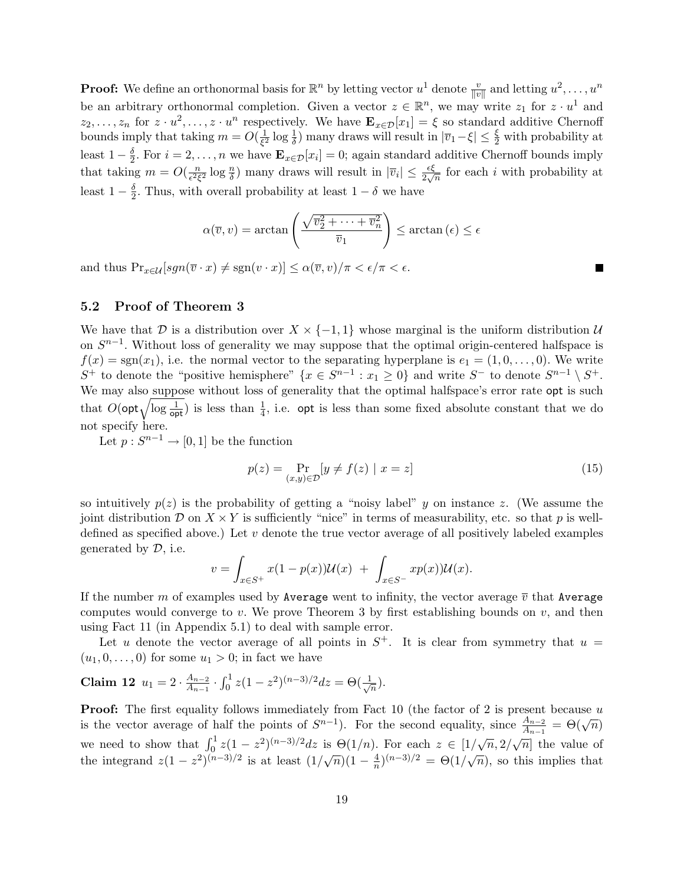**Proof:** We define an orthonormal basis for  $\mathbb{R}^n$  by letting vector  $u^1$  denote  $\frac{v}{\|v\|}$  and letting  $u^2, \ldots, u^n$ be an arbitrary orthonormal completion. Given a vector  $z \in \mathbb{R}^n$ , we may write  $z_1$  for  $z \cdot u^1$  and  $z_2,\ldots,z_n$  for  $z \cdot u^2,\ldots,z \cdot u^n$  respectively. We have  $\mathbf{E}_{x \in \mathcal{D}}[x_1] = \xi$  so standard additive Chernoff bounds imply that taking  $m = O(\frac{1}{62})$  $\frac{1}{\xi^2} \log \frac{1}{\delta}$  many draws will result in  $|\overline{v}_1 - \xi| \leq \frac{\xi}{2}$  with probability at least  $1-\frac{\delta}{2}$  $\frac{\delta}{2}$ . For  $i = 2, \ldots, n$  we have  $\mathbf{E}_{x \in \mathcal{D}}[x_i] = 0$ ; again standard additive Chernoff bounds imply that taking  $m = O(\frac{n}{\epsilon^2 \epsilon})$  $\frac{n}{\epsilon^2 \xi^2} \log \frac{n}{\delta}$  many draws will result in  $|\overline{v}_i| \leq \frac{\epsilon \xi}{2\sqrt{n}}$  for each i with probability at least  $1-\frac{\delta}{2}$  $\frac{\delta}{2}$ . Thus, with overall probability at least  $1 - \delta$  we have

$$
\alpha(\overline{v}, v) = \arctan\left(\frac{\sqrt{\overline{v}_2^2 + \dots + \overline{v}_n^2}}{\overline{v}_1}\right) \le \arctan(\epsilon) \le \epsilon
$$

and thus  $\Pr_{x \in \mathcal{U}}[sgn(\overline{v} \cdot x) \neq sgn(v \cdot x)] \leq \alpha(\overline{v}, v)/\pi < \epsilon/\pi < \epsilon$ .

### 5.2 Proof of Theorem 3

We have that D is a distribution over  $X \times \{-1,1\}$  whose marginal is the uniform distribution U on  $S^{n-1}$ . Without loss of generality we may suppose that the optimal origin-centered halfspace is  $f(x) = sgn(x_1)$ , i.e. the normal vector to the separating hyperplane is  $e_1 = (1, 0, \ldots, 0)$ . We write S<sup>+</sup> to denote the "positive hemisphere"  $\{x \in S^{n-1} : x_1 \ge 0\}$  and write S<sup>-</sup> to denote  $S^{n-1} \setminus S^+$ . We may also suppose without loss of generality that the optimal halfspace's error rate opt is such We may also suppose without loss of generality that the optimal halfspace's error rate opt is such that  $O(\text{opt}\sqrt{\log \frac{1}{\text{opt}}})$  is less than  $\frac{1}{4}$ , i.e. opt is less than some fixed absolute constant that we do not specify here.

Let  $p: S^{n-1} \to [0,1]$  be the function

$$
p(z) = \Pr_{(x,y)\in\mathcal{D}}[y \neq f(z) \mid x = z]
$$
\n(15)

so intuitively  $p(z)$  is the probability of getting a "noisy label" y on instance z. (We assume the joint distribution D on  $X \times Y$  is sufficiently "nice" in terms of measurability, etc. so that p is welldefined as specified above.) Let  $v$  denote the true vector average of all positively labeled examples generated by  $D$ , i.e.

$$
v = \int_{x \in S^+} x(1 - p(x))\mathcal{U}(x) + \int_{x \in S^-} x p(x)\mathcal{U}(x).
$$

If the number m of examples used by Average went to infinity, the vector average  $\bar{v}$  that Average computes would converge to v. We prove Theorem 3 by first establishing bounds on  $v$ , and then using Fact 11 (in Appendix 5.1) to deal with sample error.

Let u denote the vector average of all points in  $S^+$ . It is clear from symmetry that  $u =$  $(u_1, 0, \ldots, 0)$  for some  $u_1 > 0$ ; in fact we have

**Claim 12** 
$$
u_1 = 2 \cdot \frac{A_{n-2}}{A_{n-1}} \cdot \int_0^1 z(1-z^2)^{(n-3)/2} dz = \Theta(\frac{1}{\sqrt{n}}).
$$

**Proof:** The first equality follows immediately from Fact 10 (the factor of 2 is present because  $u$ **is the vector average of half the points of**  $S^{n-1}$ **).** For the second equality, since  $\frac{A_{n-2}}{A_{n-1}} = \Theta(\sqrt{n})$ we need to show that  $\int_0^1 z(1-z^2)^{(n-3)/2} dz$  is  $\Theta(1/n)$ . For each  $z \in [1/\sqrt{n}, 2/\sqrt{n}]$  the value of the integrand  $z(1-z^2)^{(n-3)/2}$  is at least  $(1/\sqrt{n})(1-\frac{4}{n})$  $\frac{4}{n}$ ,  $(n-3)/2 = \Theta(1/\sqrt{n})$ , so this implies that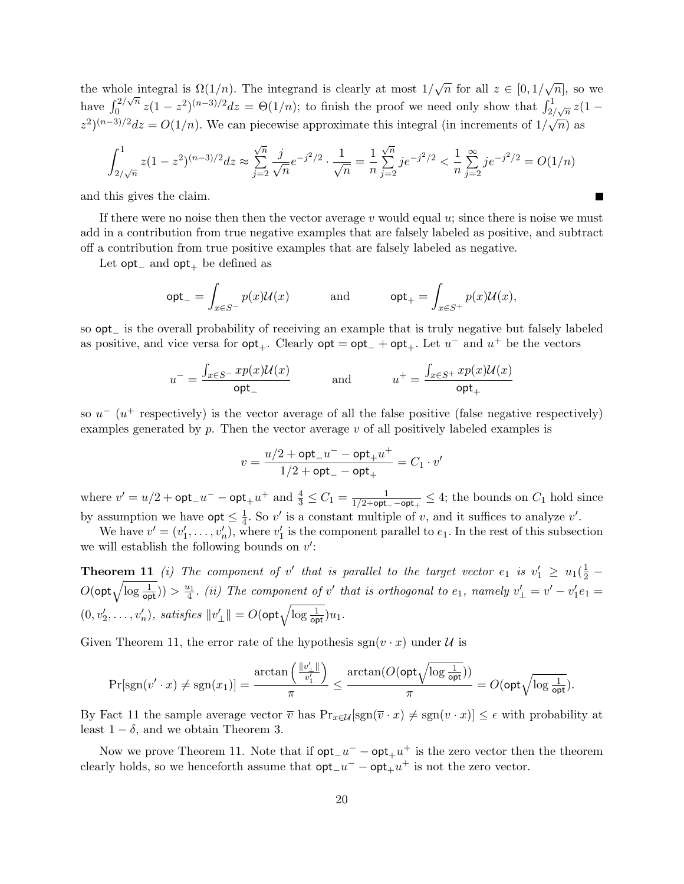the whole integral is  $\Omega(1/n)$ . The integrand is clearly at most  $1/\sqrt{n}$  for all  $z \in [0, 1/\sqrt{n}]$ , so we have  $\int_0^{2/\sqrt{n}}$  $\int_0^{2/\sqrt{n}} z(1-z^2)^{(n-3)/2} dz = \Theta(1/n)$ ; to finish the proof we need only show that  $\int_{2/\sqrt{n}}^{1/\sqrt{n}} z(1-z^2)^{(n-3)/2} dz$  $(z^2)^{(n-3)/2}dz = O(1/n)$ . We can piecewise approximate this integral (in increments of  $1/\sqrt{n}$ ) as

$$
\int_{2/\sqrt{n}}^{1} z(1-z^2)^{(n-3)/2} dz \approx \sum_{j=2}^{\sqrt{n}} \frac{j}{\sqrt{n}} e^{-j^2/2} \cdot \frac{1}{\sqrt{n}} = \frac{1}{n} \sum_{j=2}^{\sqrt{n}} j e^{-j^2/2} < \frac{1}{n} \sum_{j=2}^{\infty} j e^{-j^2/2} = O(1/n)
$$

and this gives the claim.

If there were no noise then then the vector average v would equal  $u$ ; since there is noise we must add in a contribution from true negative examples that are falsely labeled as positive, and subtract off a contribution from true positive examples that are falsely labeled as negative.

Let  $opt_$  and  $opt_+$  be defined as

$$
\mathsf{opt}_- = \int_{x \in S^-} p(x) \mathcal{U}(x) \quad \text{and} \quad \mathsf{opt}_+ = \int_{x \in S^+} p(x) \mathcal{U}(x),
$$

so opt\_ is the overall probability of receiving an example that is truly negative but falsely labeled as positive, and vice versa for  $opt_+$ . Clearly  $opt = opt_+ + opt_+$ . Let  $u^-$  and  $u^+$  be the vectors

$$
u^{-} = \frac{\int_{x \in S^{-}} x p(x) \mathcal{U}(x)}{\text{opt}_{-}} \quad \text{and} \quad u^{+} = \frac{\int_{x \in S^{+}} x p(x) \mathcal{U}(x)}{\text{opt}_{+}}
$$

so  $u^{-}$  ( $u^{+}$  respectively) is the vector average of all the false positive (false negative respectively) examples generated by  $p$ . Then the vector average  $v$  of all positively labeled examples is

$$
v=\frac{u/2+\mathsf{opt}\_u--\mathsf{opt}\_u^+}{1/2+\mathsf{opt}\_-\mathsf{opt}\_+}=C_1\cdot v'
$$

where  $v' = u/2 + \mathsf{opt}_-u^- - \mathsf{opt}_+u^+$  and  $\frac{4}{3} \le C_1 = \frac{1}{1/2 + \mathsf{opt}}$  $\frac{1}{1/2+\mathsf{opt}_{-}-\mathsf{opt}_{+}} \leq 4$ ; the bounds on  $C_1$  hold since by assumption we have  $opt \leq \frac{1}{4}$  $\frac{1}{4}$ . So v' is a constant multiple of v, and it suffices to analyze v'.

We have  $v' = (v'_1, \ldots, v'_n)$ , where  $v'_1$  is the component parallel to  $e_1$ . In the rest of this subsection we will establish the following bounds on  $v'$ :

**Theorem 11** (i) The component of v' that is parallel to the target vector  $e_1$  is  $v'_1 \geq u_1(\frac{1}{2} -$ **Theorem II** (*i*) The component of v that is parallel to the target vector  $e_1$  is  $v_1 \ge u_1(\overline{z} - O(\text{opt}\sqrt{\log \frac{1}{\text{opt}}})) > \frac{u_1}{4}$ . (*ii*) The component of v' that is orthogonal to  $e_1$ , namely  $v'_\perp = v' - v'_1e_1 =$  $(0, v'_2, \ldots, v'_n)$ , satisfies  $||v'_\perp|| = O(\text{opt}\sqrt{\log \frac{1}{\text{opt}}})u_1$ .

Given Theorem 11, the error rate of the hypothesis  $sgn(v \cdot x)$  under U is

$$
\Pr[\mathrm{sgn}(v' \cdot x) \neq \mathrm{sgn}(x_1)] = \frac{\arctan\left(\frac{||v'_\perp||}{v'_1}\right)}{\pi} \leq \frac{\arctan(O(\mathrm{opt}\sqrt{\log \frac{1}{\mathrm{opt}}}))}{\pi} = O(\mathrm{opt}\sqrt{\log \frac{1}{\mathrm{opt}}}).
$$

By Fact 11 the sample average vector  $\overline{v}$  has  $Pr_{x \in \mathcal{U}}[sgn(\overline{v} \cdot x) \neq sgn(v \cdot x)] \leq \epsilon$  with probability at least  $1 - \delta$ , and we obtain Theorem 3.

Now we prove Theorem 11. Note that if  $opt_{-}u^{-} - opt_{+}u^{+}$  is the zero vector then the theorem clearly holds, so we henceforth assume that  $\mathsf{opt}\_u^- - \mathsf{opt}\_u^+$  is not the zero vector.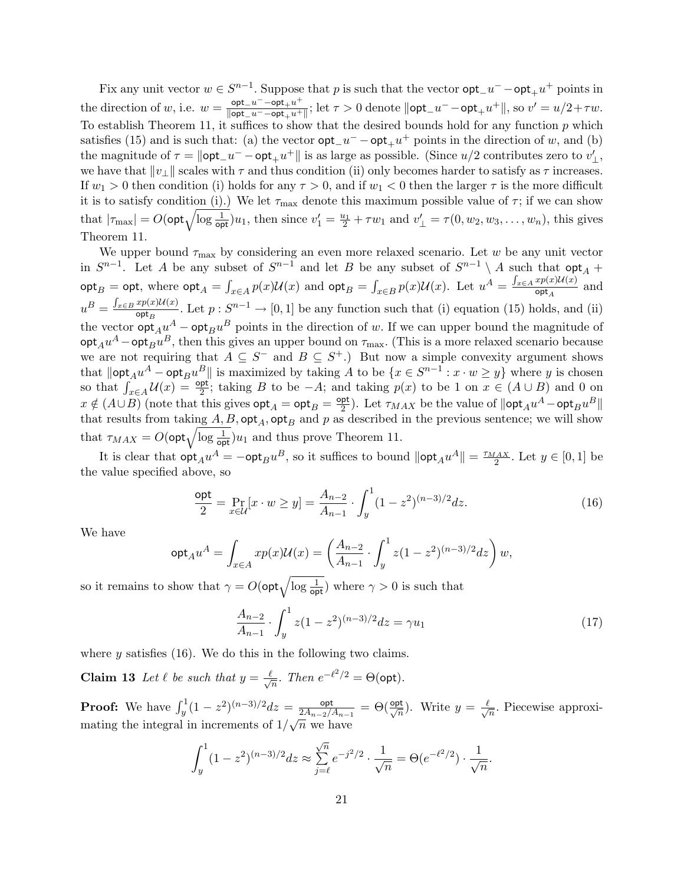Fix any unit vector  $w \in S^{n-1}$ . Suppose that p is such that the vector  $\mathsf{opt}_-u^- - \mathsf{opt}_+u^+$  points in the direction of w, i.e.  $w = \frac{\text{opt}_u u^+ - \text{opt}_u u^+}{\text{post}_u u^+ - \text{opt}_u u^+}$  $\frac{\mathsf{opt\_u^--opt_+u^+}}{\|\mathsf{opt\_u^--opt_+u^+}\|}$ ; let  $\tau > 0$  denote  $\|\mathsf{opt\_u^--opt_+u^+}\|$ , so  $v' = u/2 + \tau w$ . To establish Theorem 11, it suffices to show that the desired bounds hold for any function  $p$  which satisfies (15) and is such that: (a) the vector  $\mathsf{opt}_-u^- - \mathsf{opt}_+u^+$  points in the direction of w, and (b) the magnitude of  $\tau = ||\textsf{opt}_-u^- - \textsf{opt}_+u^+||$  is as large as possible. (Since  $u/2$  contributes zero to  $v'_\perp$ , we have that  $||v_\perp||$  scales with  $\tau$  and thus condition (ii) only becomes harder to satisfy as  $\tau$  increases. If  $w_1 > 0$  then condition (i) holds for any  $\tau > 0$ , and if  $w_1 < 0$  then the larger  $\tau$  is the more difficult it is to satisfy condition (i).) We let  $\tau_{\text{max}}$  denote this maximum possible value of  $\tau$ ; if we can show It is to satisfy condition (1).) We let  $\tau_{\text{max}}$  denote this maximum possible value of  $\tau$ ; if we can show that  $|\tau_{\text{max}}| = O(\text{opt}\sqrt{\log \frac{1}{\text{opt}}})u_1$ , then since  $v'_1 = \frac{u_1}{2} + \tau w_1$  and  $v'_\perp = \tau(0, w_2, w_3, \dots, w_n)$ , thi Theorem 11.

We upper bound  $\tau_{\text{max}}$  by considering an even more relaxed scenario. Let w be any unit vector in  $S^{n-1}$ . Let A be any subset of  $S^{n-1}$  and let B be any subset of  $S^{n-1} \setminus A$  such that  $\mathsf{opt}_A$  +  $\mathsf{opt}_B = \mathsf{opt}, \text{ where } \mathsf{opt}_A =$ R  $\int_{x \in A} p(x) \mathcal{U}(x)$  and  $\mathsf{opt}_B =$ R  $\sum_{x\in B} p(x)U(x)$ . Let  $u^A = \frac{\int_{x\in A} xp(x)U(x)}{\rho pt_A}$ = opt, where  $\det_A = \int_{x \in A} p(x) \mathcal{U}(x)$  and  $\det_B = \int_{x \in B} p(x) \mathcal{U}(x)$ . Let  $u^A = \frac{J_{x \in A} \mu(x) \mu(x)}{\det_A}$  and  $u^B = \frac{\int_{x \in B} x p(x) \mathcal{U}(x)}{\text{opt}}$  $\frac{xp(x)\mathcal{U}(x)}{\text{opt}_B}$ . Let  $p: S^{n-1} \to [0,1]$  be any function such that (i) equation (15) holds, and (ii) the vector  $\mathsf{opt}_A u^A - \mathsf{opt}_B u^B$  points in the direction of w. If we can upper bound the magnitude of  $\mathsf{opt}_A u^A - \mathsf{opt}_B u^B,$  then this gives an upper bound on  $\tau_\text{max}$ . (This is a more relaxed scenario because we are not requiring that  $A \subseteq S^-$  and  $B \subseteq S^+$ .) But now a simple convexity argument shows that  $\|\textsf{opt}_A u^A - \textsf{opt}_B u^B\|$  is maximized by taking A to be  $\{x \in S^{n-1} : x \cdot w \geq y\}$  where y is chosen  $\lim_{x \to a} \sup_{x \in A} u(x) = \frac{\partial u}{\partial x}$ ; taking B to be  $-A$ ; and taking  $p(x)$  to be 1 on  $x \in (A \cup B)$  and 0 on  $x \notin (A \cup B)$  (note that this gives  $\mathsf{opt}_A = \mathsf{opt}_B = \frac{\mathsf{opt}}{2}$  $\frac{\text{pt}}{2}$ ). Let  $\tau_{MAX}$  be the value of  $\|\textsf{opt}_A u^A - \textsf{opt}_B u^B\|$ that results from taking  $A, B, \textsf{opt}_A, \textsf{opt}_B$  and p as described in the previous sentence; we will show that results from taking  $A, B$ ,  $\mathsf{opt}_A$ ,  $\mathsf{opt}_B$  and p as described that  $\tau_{MAX} = O(\mathsf{opt}\sqrt{\log \frac{1}{\mathsf{opt}}})u_1$  and thus prove Theorem 11.

It is clear that  $\mathsf{opt}_A u^A = -\mathsf{opt}_B u^B$ , so it suffices to bound  $\|\mathsf{opt}_A u^A\| = \frac{\tau_{MAX}}{2}$ . Let  $y \in [0,1]$  be the value specified above, so

$$
\frac{\text{opt}}{2} = \Pr_{x \in \mathcal{U}}[x \cdot w \ge y] = \frac{A_{n-2}}{A_{n-1}} \cdot \int_{y}^{1} (1 - z^2)^{(n-3)/2} dz.
$$
 (16)

We have

$$
\mathsf{opt}_A u^A = \int_{x \in A} x p(x) \mathcal{U}(x) = \left( \frac{A_{n-2}}{A_{n-1}} \cdot \int_y^1 z (1-z^2)^{(n-3)/2} dz \right) w,
$$

so it remains to show that  $\gamma = O(\text{opt}\sqrt{\log \frac{1}{\text{opt}}})$  where  $\gamma > 0$  is such that

$$
\frac{A_{n-2}}{A_{n-1}} \cdot \int_{y}^{1} z(1-z^2)^{(n-3)/2} dz = \gamma u_1 \tag{17}
$$

where  $\gamma$  satisfies (16). We do this in the following two claims.

**Claim 13** Let  $\ell$  be such that  $y = \frac{\ell}{\ell}$  $\frac{1}{\overline{n}}$ . Then  $e^{-\ell^2/2} = \Theta(\text{opt})$ .

**Proof:** We have  $\int_{y}^{1} (1 - z^2)^{(n-3)/2} dz = \frac{\text{opt}}{2A_{n-2}}$  $\frac{\mathsf{opt}}{2A_{n-2}/A_{n-1}} = \Theta(\frac{\mathsf{opt}}{\sqrt{n}}).$  Write  $y = \frac{\ell}{\sqrt{n}}$  $\frac{1}{n}$ . Piecewise approximating the integral in increments of  $1/\sqrt{n}$  we have √

$$
\int_{y}^{1} (1 - z^2)^{(n-3)/2} dz \approx \sum_{j=\ell}^{\sqrt{n}} e^{-j^2/2} \cdot \frac{1}{\sqrt{n}} = \Theta(e^{-\ell^2/2}) \cdot \frac{1}{\sqrt{n}}.
$$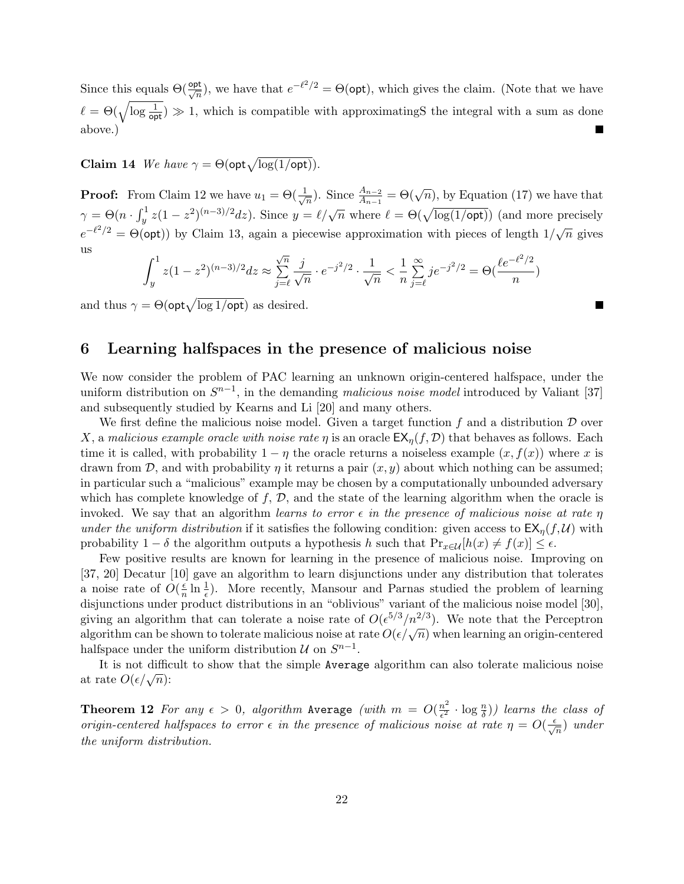Since this equals  $\Theta(\frac{\text{opt}}{\sqrt{n}})$ , we have that  $e^{-\ell^2/2} = \Theta(\text{opt})$ , which gives the claim. (Note that we have  $\ell = \Theta(\sqrt{\log \frac{1}{\mathsf{opt}}}) \gg 1$ , which is compatible with approximatingS the integral with a sum as done above.)

**Claim 14** We have  $\gamma = \Theta(\mathsf{opt}\sqrt{\log(1/\mathsf{opt})}).$ 

**Proof:** From Claim 12 we have  $u_1 = \Theta(\frac{1}{\sqrt{n}})$  $(\frac{1}{n})$ . Since  $\frac{A_{n-2}}{A_{n-1}} = \Theta(\sqrt{n})$ , by Equation (17) we have that  $\gamma = \Theta(n \cdot \int_u^1$  $y^{1/2}$   $z(1-z^2)^{(n-3)/2}$ dz). Since  $y = \ell/\sqrt{n}$  where  $\ell = \Theta(\sqrt{\log(1/\text{opt})})$  (and more precisely  $e^{-\ell^2/2} = \Theta(\text{opt})$  by Claim 13, again a piecewise approximation with pieces of length  $1/\sqrt{n}$  gives us  $\overline{r}$ 1 √

$$
\int_{y}^{1} z(1-z^{2})^{(n-3)/2} dz \approx \sum_{j=\ell}^{\sqrt{n}} \frac{j}{\sqrt{n}} \cdot e^{-j^{2}/2} \cdot \frac{1}{\sqrt{n}} < \frac{1}{n} \sum_{j=\ell}^{\infty} j e^{-j^{2}/2} = \Theta(\frac{\ell e^{-\ell^{2}/2}}{n})
$$

п

and thus  $\gamma = \Theta(\mathsf{opt}\sqrt{\log 1/\mathsf{opt}})$  as desired.

### 6 Learning halfspaces in the presence of malicious noise

We now consider the problem of PAC learning an unknown origin-centered halfspace, under the uniform distribution on  $S^{n-1}$ , in the demanding malicious noise model introduced by Valiant [37] and subsequently studied by Kearns and Li [20] and many others.

We first define the malicious noise model. Given a target function  $f$  and a distribution  $D$  over X, a malicious example oracle with noise rate  $\eta$  is an oracle  $\mathsf{EX}_{\eta}(f, \mathcal{D})$  that behaves as follows. Each time it is called, with probability  $1 - \eta$  the oracle returns a noiseless example  $(x, f(x))$  where x is drawn from  $\mathcal{D}$ , and with probability  $\eta$  it returns a pair  $(x, y)$  about which nothing can be assumed; in particular such a "malicious" example may be chosen by a computationally unbounded adversary which has complete knowledge of  $f, D$ , and the state of the learning algorithm when the oracle is invoked. We say that an algorithm learns to error  $\epsilon$  in the presence of malicious noise at rate  $\eta$ under the uniform distribution if it satisfies the following condition: given access to  $EX_n(f, \mathcal{U})$  with probability  $1 - \delta$  the algorithm outputs a hypothesis h such that  $Pr_{x \in \mathcal{U}}[h(x) \neq f(x)] \leq \epsilon$ .

Few positive results are known for learning in the presence of malicious noise. Improving on [37, 20] Decatur [10] gave an algorithm to learn disjunctions under any distribution that tolerates a noise rate of  $O(\frac{\epsilon}{n})$  $\frac{\epsilon}{n} \ln \frac{1}{\epsilon}$ . More recently, Mansour and Parnas studied the problem of learning disjunctions under product distributions in an "oblivious" variant of the malicious noise model [30], giving an algorithm that can tolerate a noise rate of  $O(\epsilon^{5/3}/n^{2/3})$ . We note that the Perceptron giving an algorithm that can tolerate a holder rate of  $O(\epsilon^2/n^2)$ . We note that the Terceptron algorithm can be shown to tolerate malicious noise at rate  $O(\epsilon/\sqrt{n})$  when learning an origin-centered halfspace under the uniform distribution  $\mathcal U$  on  $S^{n-1}$ .

It is not difficult to show that the simple Average algorithm can also tolerate malicious noise at rate  $O(\epsilon/\sqrt{n})$ :

**Theorem 12** For any  $\epsilon > 0$ , algorithm Average (with  $m = O(\frac{n^2}{\epsilon^2})$  $\frac{n^2}{\epsilon^2} \cdot \log \frac{n}{\delta})$ ) learns the class of origin-centered halfspaces to error  $\epsilon$  in the presence of malicious noise at rate  $\eta = O(\frac{\epsilon}{\sqrt{n}})$  under the uniform distribution.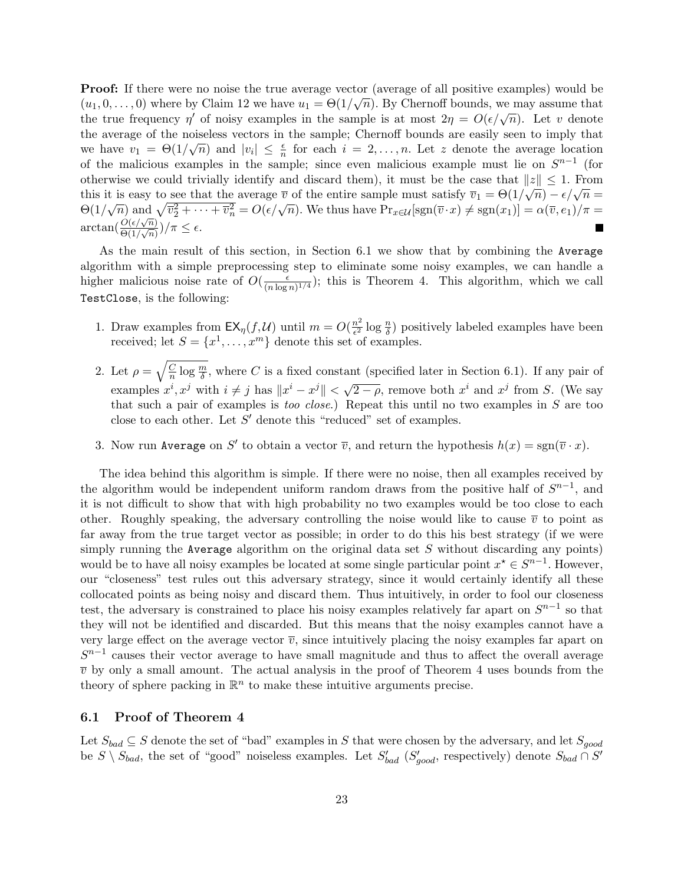**Proof:** If there were no noise the true average vector (average of all positive examples) would be  $(u_1, 0, \ldots, 0)$  where by Claim 12 we have  $u_1 = \Theta(1/\sqrt{n})$ . By Chernoff bounds, we may assume that (*u*<sub>1</sub>, 0,..., 0) where by Claim 12 we have  $u_1 = \Theta(1/\sqrt{n})$ . By Chernon bounds, we hay assume that the true frequency  $\eta'$  of noisy examples in the sample is at most  $2\eta = O(\epsilon/\sqrt{n})$ . Let v denote the average of the noiseless vectors in the sample; Chernoff bounds are easily seen to imply that we have  $v_1 = \Theta(1/\sqrt{n})$  and  $|v_i| \leq \frac{\epsilon}{n}$  for each  $i = 2, \ldots, n$ . Let z denote the average location of the malicious examples in the sample; since even malicious example must lie on  $S^{n-1}$  (for otherwise we could trivially identify and discard them), it must be the case that  $||z|| \leq 1$ . From this it is easy to see that the average  $\overline{v}$  of the entire sample must satisfy  $\overline{v}_1 = \Theta(1/\sqrt{n}) - \epsilon/\sqrt{n} =$ this it is easy to see that the average v of the entire sample must satisfy  $v_1 = \Theta(1/\sqrt{n}) - \epsilon/\sqrt{n} =$ <br> $\Theta(1/\sqrt{n})$  and  $\sqrt{v_2^2 + \cdots + v_n^2} = O(\epsilon/\sqrt{n})$ . We thus have  $\Pr_{x \in \mathcal{U}}[\text{sgn}(\overline{v} \cdot x) \neq \text{sgn}(x_1)] = \alpha(\overline{v}, e_1)/\pi =$  $\arctan(\frac{O(\epsilon/\sqrt{n})}{\Theta(1/\sqrt{n})})$  $\frac{O(\epsilon/\sqrt{n})}{\Theta(1/\sqrt{n})}$ )/ $\pi \leq \epsilon$ .

As the main result of this section, in Section 6.1 we show that by combining the Average algorithm with a simple preprocessing step to eliminate some noisy examples, we can handle a higher malicious noise rate of  $O(\frac{\epsilon}{\sqrt{n}})$  $\frac{\epsilon}{(n \log n)^{1/4}}$ ; this is Theorem 4. This algorithm, which we call TestClose, is the following:

- 1. Draw examples from  $\mathsf{EX}_{\eta}(f,\mathcal{U})$  until  $m=O(\frac{n^2}{\epsilon^2})$  $\frac{n^2}{\epsilon^2} \log \frac{n}{\delta}$ ) positively labeled examples have been received; let  $S = \{x^1, \ldots, x^m\}$  denote this set of examples.
- 2. Let  $\rho =$  $\overline{C}$  $\frac{C}{n}$  log  $\frac{m}{\delta}$ , where C is a fixed constant (specified later in Section 6.1). If any pair of examples  $x^i$ ,  $x^j$  with  $i \neq j$  has  $||x^i - x^j|| < \sqrt{2 - \rho}$ , remove both  $x^i$  and  $x^j$  from S. (We say that such a pair of examples is too close.) Repeat this until no two examples in S are too close to each other. Let  $S'$  denote this "reduced" set of examples.
- 3. Now run Average on S' to obtain a vector  $\overline{v}$ , and return the hypothesis  $h(x) = \text{sgn}(\overline{v} \cdot x)$ .

The idea behind this algorithm is simple. If there were no noise, then all examples received by the algorithm would be independent uniform random draws from the positive half of  $S^{n-1}$ , and it is not difficult to show that with high probability no two examples would be too close to each other. Roughly speaking, the adversary controlling the noise would like to cause  $\bar{v}$  to point as far away from the true target vector as possible; in order to do this his best strategy (if we were simply running the Average algorithm on the original data set  $S$  without discarding any points) would be to have all noisy examples be located at some single particular point  $x^* \in S^{n-1}$ . However, our "closeness" test rules out this adversary strategy, since it would certainly identify all these collocated points as being noisy and discard them. Thus intuitively, in order to fool our closeness test, the adversary is constrained to place his noisy examples relatively far apart on  $S^{n-1}$  so that they will not be identified and discarded. But this means that the noisy examples cannot have a very large effect on the average vector  $\overline{v}$ , since intuitively placing the noisy examples far apart on  $S^{n-1}$  causes their vector average to have small magnitude and thus to affect the overall average  $\overline{v}$  by only a small amount. The actual analysis in the proof of Theorem 4 uses bounds from the theory of sphere packing in  $\mathbb{R}^n$  to make these intuitive arguments precise.

### 6.1 Proof of Theorem 4

 $\mathcal{L}$ 

Let  $S_{bad} \subseteq S$  denote the set of "bad" examples in S that were chosen by the adversary, and let  $S_{good}$ be  $S \setminus S_{bad}$ , the set of "good" noiseless examples. Let  $S'_{bad}$   $(S'_{good}$ , respectively) denote  $S_{bad} \cap S'$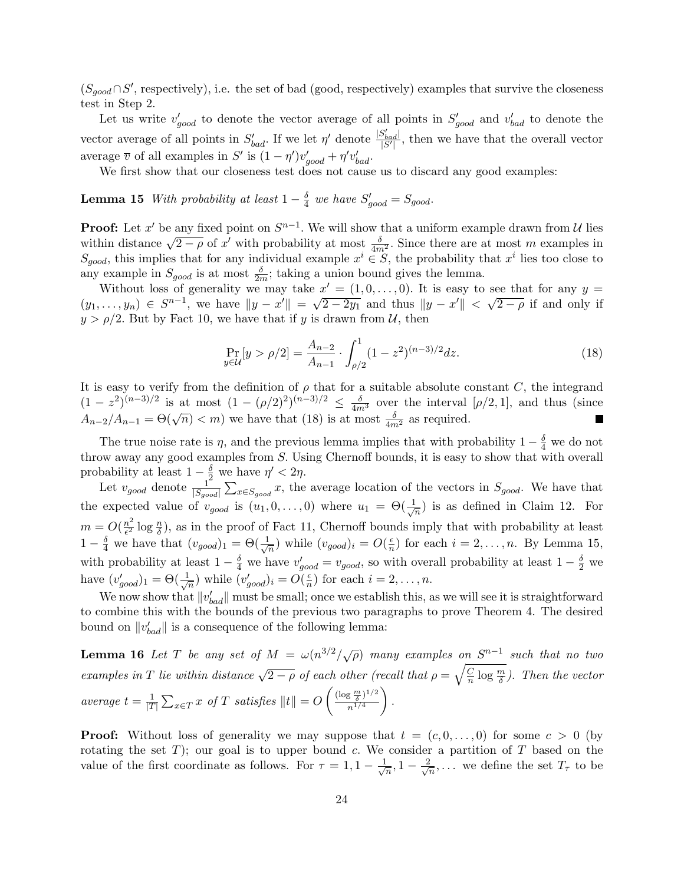$(S_{good} \cap S'$ , respectively), i.e. the set of bad (good, respectively) examples that survive the closeness test in Step 2.

Let us write  $v'_{good}$  to denote the vector average of all points in  $S'_{good}$  and  $v'_{bad}$  to denote the vector average of all points in  $S'_{bad}$ . If we let  $\eta'$  denote  $\frac{|S'_{bad}|}{|S'|}$ , then we have that the overall vector average  $\overline{v}$  of all examples in S' is  $(1 - \eta')v'_{good} + \eta'v'_{bad}$ .

We first show that our closeness test does not cause us to discard any good examples:

**Lemma 15** With probability at least  $1-\frac{\delta}{4}$  $\frac{\delta}{4}$  we have  $S'_{good} = S_{good}$ .

**Proof:** Let x' be any fixed point on  $S^{n-1}$ . We will show that a uniform example drawn from U lies **FTOOI:** Let x be any fixed point on  $\beta$  with show that a uniform example drawn from  $\alpha$  less within distance  $\sqrt{2-\rho}$  of x' with probability at most  $\frac{\delta}{4m^2}$ . Since there are at most m examples in  $S_{good}$ , this implies that for any individual example  $x^i \in S$ , the probability that  $x^i$  lies too close to any example in  $S_{good}$  is at most  $\frac{\delta}{2m}$ ; taking a union bound gives the lemma.

Without loss of generality we may take  $x' = (1, 0, \ldots, 0)$ . It is easy to see that for any  $y = (1, 0, \ldots, 0)$  $(y_1,\ldots,y_n) \in S^{n-1}$ , we have  $||y-x'|| = \sqrt{2-2y_1}$  and thus  $||y-x'|| < \sqrt{2-\rho}$  if and only if  $y > \rho/2$ . But by Fact 10, we have that if y is drawn from U, then

$$
\Pr_{y \in \mathcal{U}}[y > \rho/2] = \frac{A_{n-2}}{A_{n-1}} \cdot \int_{\rho/2}^{1} (1 - z^2)^{(n-3)/2} dz.
$$
 (18)

It is easy to verify from the definition of  $\rho$  that for a suitable absolute constant C, the integrand  $(1-z^2)^{(n-3)/2}$  is at most  $(1-(\rho/2)^2)^{(n-3)/2} \leq \frac{\delta}{4m^3}$  over the interval  $[\rho/2,1]$ , and thus (since  $A_{n-2}/A_{n-1} = \Theta(\sqrt{n}) < m$  we have that (18) is at most  $\frac{\delta}{4m^2}$  as required. п

The true noise rate is  $\eta$ , and the previous lemma implies that with probability  $1 - \frac{\delta}{4}$  we do not throw away any good examples from S. Using Chernoff bounds, it is easy to show that with overall probability at least  $1 - \frac{\delta}{2}$  we have  $\eta' < 2\eta$ .

Let  $v_{good}$  denote  $\frac{1}{|S_{good}|}\sum_{x \in S_{good}} x$ , the average location of the vectors in  $S_{good}$ . We have that the expected value of  $v_{good}$  is  $(u_1, 0, \ldots, 0)$  where  $u_1 = \Theta(\frac{1}{\sqrt{n}})$  $\frac{1}{n}$ ) is as defined in Claim 12. For  $m=O(\frac{n^2}{c^2})$  $\frac{n^2}{\epsilon^2} \log \frac{n}{\delta}$ , as in the proof of Fact 11, Chernoff bounds imply that with probability at least  $1-\frac{\delta}{4}$  we have that  $(v_{good})_1 = \Theta(\frac{1}{\sqrt{2}})$  $\frac{1}{n}$ ) while  $(v_{good})_i = O(\frac{\epsilon}{n})$  $\frac{\epsilon}{n}$ ) for each  $i = 2, ..., n$ . By Lemma 15, with probability at least  $1-\frac{\delta}{4}$  we have  $v'_{good} = v_{good}$ , so with overall probability at least  $1-\frac{\delta}{2}$  we have  $(v'_{good})_1 = \Theta(\frac{1}{\sqrt{2}})$  $\frac{1}{\overline{n}}$ ) while  $(v'_{good})_i = O(\frac{\epsilon}{n})$  $\frac{\epsilon}{n}$ ) for each  $i = 2, \ldots, n$ .

We now show that  $||v'_{bad}||$  must be small; once we establish this, as we will see it is straightforward to combine this with the bounds of the previous two paragraphs to prove Theorem 4. The desired bound on  $||v'_{bad}||$  is a consequence of the following lemma:

**Lemma 16** Let T be any set of  $M = \omega(n^{3/2}/\sqrt{\rho})$  many examples on  $S^{n-1}$  such that no two examples in T lie within distance  $\sqrt{2-\rho}$  of each other (recall that  $\rho = \sqrt{\frac{C}{n}}$ ch other (recall that  $\rho = \sqrt{\frac{C}{n}} \log \frac{m}{\delta}$ ). Then the vector average  $t=\frac{1}{17}$  $|T|$  $\overline{ }$  $\lim_{x \in T} x \text{ of } T \text{ satisfies } ||t|| = O\left(\frac{(\log \frac{m}{\delta})^{1/2}}{n^{1/4}}\right)$  $rac{\frac{3}{\delta} \left(1/4\right)}{n^{1/4}}$ .

**Proof:** Without loss of generality we may suppose that  $t = (c, 0, \ldots, 0)$  for some  $c > 0$  (by rotating the set T); our goal is to upper bound c. We consider a partition of T based on the value of the first coordinate as follows. For  $\tau = 1, 1 - \frac{1}{6}$  $\frac{1}{n}, 1-\frac{2}{\sqrt{2}}$  $\frac{n}{n}, \ldots$  we define the set  $T_{\tau}$  to be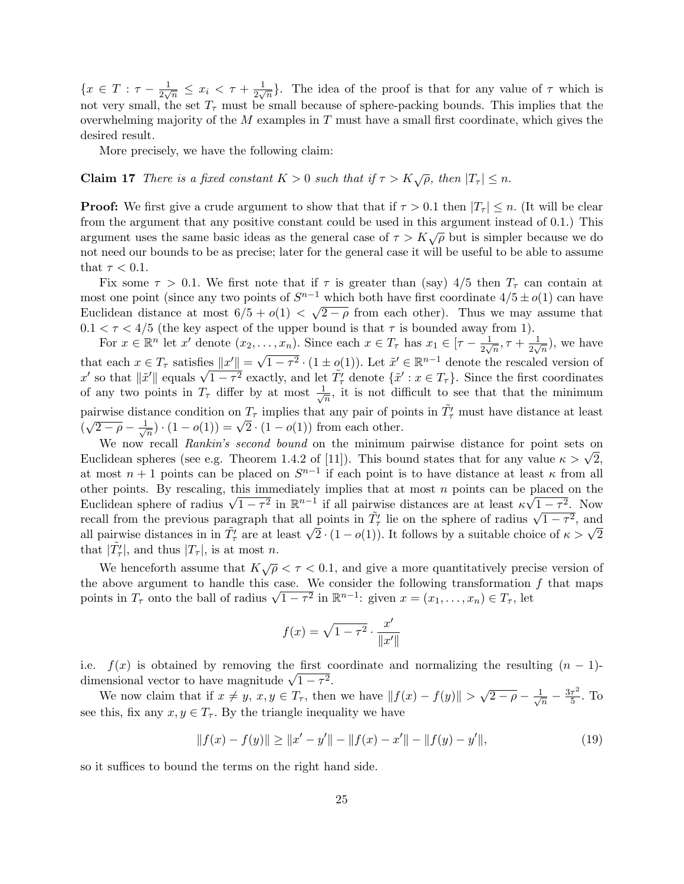${x \in T : \tau - \frac{1}{2}}$  $\frac{1}{2\sqrt{n}} \leq x_i < \tau + \frac{1}{2\sqrt{n}}$  $\frac{1}{2\sqrt{n}}$ . The idea of the proof is that for any value of  $\tau$  which is not very small, the set  $T<sub>\tau</sub>$  must be small because of sphere-packing bounds. This implies that the overwhelming majority of the  $M$  examples in  $T$  must have a small first coordinate, which gives the desired result.

More precisely, we have the following claim:

### **Claim 17** There is a fixed constant  $K > 0$  such that if  $\tau > K\sqrt{\rho}$ , then  $|T_{\tau}| \leq n$ .

**Proof:** We first give a crude argument to show that that if  $\tau > 0.1$  then  $|T_{\tau}| \leq n$ . (It will be clear from the argument that any positive constant could be used in this argument instead of 0.1.) This argument uses the same basic ideas as the general case of  $\tau > K\sqrt{\rho}$  but is simpler because we do not need our bounds to be as precise; later for the general case it will be useful to be able to assume that  $\tau < 0.1$ .

Fix some  $\tau > 0.1$ . We first note that if  $\tau$  is greater than (say) 4/5 then  $T_{\tau}$  can contain at most one point (since any two points of  $S^{n-1}$  which both have first coordinate  $4/5 \pm o(1)$  can have Euclidean distance at most  $6/5 + o(1) < \sqrt{2-\rho}$  from each other). Thus we may assume that  $0.1 < \tau < 4/5$  (the key aspect of the upper bound is that  $\tau$  is bounded away from 1).

For  $x \in \mathbb{R}^n$  let  $x'$  denote  $(x_2, \ldots, x_n)$ . Since each  $x \in T_\tau$  has  $x_1 \in [\tau - \frac{1}{2\sqrt{n}}]$  $\frac{1}{2\sqrt{n}}, \tau + \frac{1}{2\sqrt{n}}$  $\frac{1}{2\sqrt{n}}$ , we have that each  $x \in T_{\tau}$  satisfies  $||x'|| = \sqrt{\frac{2}{\pi}}$  $\overline{1-\tau^2} \cdot (1 \pm o(1))$ . Let  $\tilde{x}' \in \mathbb{R}^{n-1}$  denote the rescaled version of that each  $x \in I_{\tau}$  satisfies  $||x|| = \sqrt{1 - \tau^2} \cdot (1 \pm o(1))$ . Let  $x \in \mathbb{R}^n$  denote the rescaled version of  $x'$  so that  $||\tilde{x}'||$  equals  $\sqrt{1 - \tau^2}$  exactly, and let  $\tilde{T}_{\tau}'$  denote  $\{\tilde{x}' : x \in T_{\tau}\}\$ . Since the first of any two points in  $T_{\tau}$  differ by at most  $\frac{1}{\sqrt{2}}$  $\frac{1}{\sqrt{n}}$ , it is not difficult to see that that the minimum pairwise distance condition on  $T_{\tau}$  implies that any pair of points in  $\tilde{T'_{\tau}}$  must have distance at least  $\frac{\mu}{\sqrt{2-\rho}}$  –  $\frac{1}{\sqrt{2-\rho}}$ ance condition on  $I_{\tau}$  implies that any pair or po<br>  $\frac{1}{\sqrt{n}}$   $\cdot$   $(1 - o(1)) = \sqrt{2} \cdot (1 - o(1))$  from each other.

We now recall Rankin's second bound on the minimum pairwise distance for point sets on We now recall *Rankin's second bound* on the minimum pairwise distance for point sets on<br>Euclidean spheres (see e.g. Theorem 1.4.2 of [11]). This bound states that for any value  $\kappa > \sqrt{2}$ , at most  $n+1$  points can be placed on  $S^{n-1}$  if each point is to have distance at least  $\kappa$  from all other points. By rescaling, this immediately implies that at most n points can be placed on the other points. By rescaling, this immediately implies that at most *n* points can be placed on the<br>Euclidean sphere of radius  $\sqrt{1-\tau^2}$  in  $\mathbb{R}^{n-1}$  if all pairwise distances are at least  $\kappa\sqrt{1-\tau^2}$ . Now Euchdean sphere of radius  $\sqrt{1-\tau^2}$  in  $\mathbb{R}^n$  - if all pairwise distances are at least  $\kappa \sqrt{1-\tau^2}$ , Now<br>recall from the previous paragraph that all points in  $\tilde{T}_\tau$  lie on the sphere of radius  $\sqrt{1-\tau^2}$ , and recall from the previous paragraph that all points in  $T^+_\tau$  lie on the sphere of radius  $\sqrt{1-\tau^2}$ , and all pairwise distances in in  $\tilde{T}^{\prime}_\tau$  are at least  $\sqrt{2} \cdot (1 - o(1))$ . It follows by a suitable choice of  $\kappa >$ that  $|\tilde{T}_{\tau}'|$ , and thus  $|T_{\tau}|$ , is at most *n*.

We henceforth assume that  $K\sqrt{\rho} < \tau < 0.1$ , and give a more quantitatively precise version of the above argument to handle this case. We consider the following transformation  $f$  that maps the above argument to handle this case. We consider the following transformation<br>points in  $T_{\tau}$  onto the ball of radius  $\sqrt{1-\tau^2}$  in  $\mathbb{R}^{n-1}$ : given  $x=(x_1,\ldots,x_n)\in T_{\tau}$ , let

$$
f(x) = \sqrt{1 - \tau^2} \cdot \frac{x'}{\|x'\|}
$$

i.e.  $f(x)$  is obtained by removing the first coordinate and normalizing the resulting  $(n - 1)$ i.e.  $f(x)$  is obtained by removing the first codimensional vector to have magnitude  $\sqrt{1-\tau^2}$ .

We now claim that if  $x \neq y$ ,  $x, y \in T_{\tau}$ , then we have  $||f(x) - f(y)|| > \sqrt{2 - \rho} - \frac{1}{\sqrt{\rho}}$  $\frac{1}{n} - \frac{3\tau^2}{5}$  $rac{\tau^2}{5}$ . To see this, fix any  $x, y \in T_{\tau}$ . By the triangle inequality we have

$$
||f(x) - f(y)|| \ge ||x' - y'|| - ||f(x) - x'|| - ||f(y) - y'||,
$$
\n(19)

so it suffices to bound the terms on the right hand side.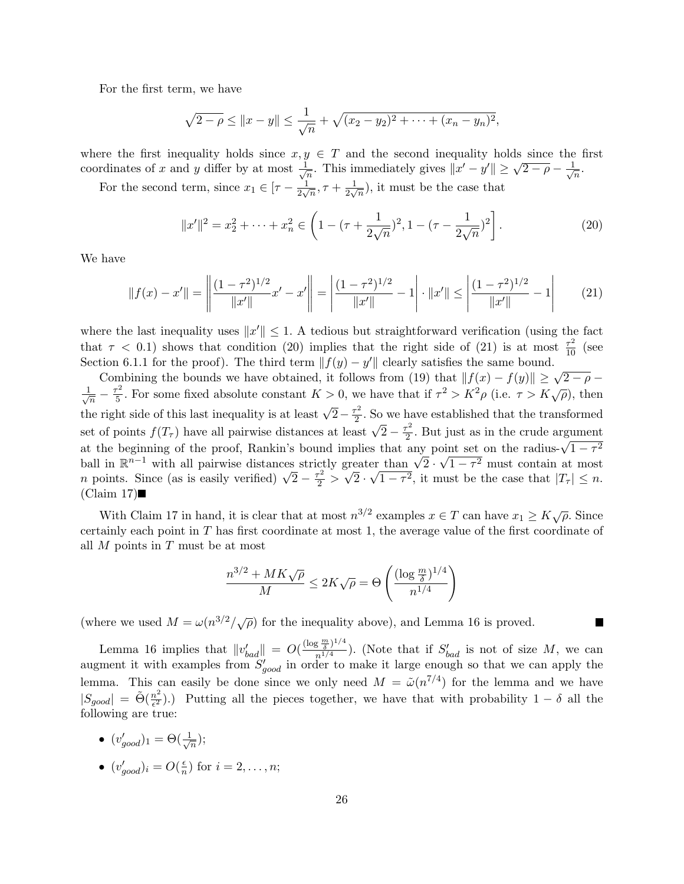For the first term, we have

$$
\sqrt{2-\rho} \le ||x-y|| \le \frac{1}{\sqrt{n}} + \sqrt{(x_2 - y_2)^2 + \dots + (x_n - y_n)^2},
$$

where the first inequality holds since  $x, y \in T$  and the second inequality holds since the first coordinates of x and y differ by at most  $\frac{1}{\sqrt{2}}$  $y \in T$  and the second mequality holds since the<br>  $\frac{1}{\sqrt{n}}$ . This immediately gives  $||x'-y'|| \ge \sqrt{2-\rho} - \frac{1}{\sqrt{n}}$  $\frac{1}{n}$ .

For the second term, since  $x_1 \in [\tau - \frac{1}{2\sqrt{3}}]$  $\frac{1}{2\sqrt{n}}, \tau + \frac{1}{2\sqrt{n}}$  $\frac{1}{2\sqrt{n}}$ , it must be the case that

$$
||x'||^2 = x_2^2 + \dots + x_n^2 \in \left(1 - (\tau + \frac{1}{2\sqrt{n}})^2, 1 - (\tau - \frac{1}{2\sqrt{n}})^2\right].
$$
 (20)

We have

$$
||f(x) - x'|| = \left\| \frac{(1 - \tau^2)^{1/2}}{||x'||} x' - x' \right\| = \left| \frac{(1 - \tau^2)^{1/2}}{||x'||} - 1 \right| \cdot ||x'|| \le \left| \frac{(1 - \tau^2)^{1/2}}{||x'||} - 1 \right| \tag{21}
$$

where the last inequality uses  $||x'|| \leq 1$ . A tedious but straightforward verification (using the fact that  $\tau$  < 0.1) shows that condition (20) implies that the right side of (21) is at most  $\frac{\tau^2}{10}$  (see Section 6.1.1 for the proof). The third term  $|| f(y) - y' ||$  clearly satisfies the same bound.

Combining the bounds we have obtained, it follows from (19) that  $||f(x) - f(y)|| \ge \sqrt{2 - \rho}$  –  $\frac{1}{\sqrt{2}}$  $\frac{\tau^2}{\overline{n}}-\frac{\tau^2}{5}$ For some fixed absolute constant  $K > 0$ , we have that if  $\tau^2 > K^2 \rho$  (i.e.  $\tau > K\sqrt{\rho}$ ), then  $\sqrt{n}$  b<br>the right side of this last inequality is at least  $\sqrt{2} - \frac{\tau^2}{2}$  $\frac{r^2}{2}$ . So we have established that the transformed set of points  $f(T_\tau)$  have all pairwise distances at least  $\sqrt{2} - \frac{\tau^2}{2}$  $\frac{1}{2}$ . But just as in the crude argument set of points  $f(T_{\tau})$  have an pairwise distances at least  $\sqrt{2-\frac{\tau}{2}}$ . But just as in the crude argument at the beginning of the proof, Rankin's bound implies that any point set on the radius- $\sqrt{1-\tau^2}$ at the beginning of the proof, Rankin's bound implies that any point set on the radius- $\sqrt{1-\tau^2}$ <br>ball in  $\mathbb{R}^{n-1}$  with all pairwise distances strictly greater than  $\sqrt{2} \cdot \sqrt{1-\tau^2}$  must contain at most ball in  $\mathbb{R}^n$  with all pairwise distances strictly greater than  $\sqrt{2} \cdot \sqrt{1-\tau^2}$  must contain at most *n* points. Since (as is easily verified)  $\sqrt{2} - \frac{\tau^2}{2} > \sqrt{2} \cdot \sqrt{1-\tau^2}$ , it must be the case that  $|T_\tau| \leq$  $(Claim 17)$ 

With Claim 17 in hand, it is clear that at most  $n^{3/2}$  examples  $x \in T$  can have  $x_1 \geq K \sqrt{\rho}$ . Since certainly each point in T has first coordinate at most 1, the average value of the first coordinate of all  $M$  points in  $T$  must be at most

$$
\frac{n^{3/2} + MK\sqrt{\rho}}{M} \le 2K\sqrt{\rho} = \Theta\left(\frac{(\log\frac{m}{\delta})^{1/4}}{n^{1/4}}\right)
$$

П

(where we used  $M = \omega(n^{3/2}/\sqrt{\rho})$  for the inequality above), and Lemma 16 is proved.

Lemma 16 implies that  $||v_{bad}'|| = O(\frac{(\log \frac{m}{\delta})^{1/4}}{n^{1/4}})$  $\frac{\frac{1}{3} \frac{1}{6} \cdot \frac{1}{6} + \cdots}{n^{1/4}}$ ). (Note that if  $S'_{bad}$  is not of size M, we can augment it with examples from  $S'_{good}$  in order to make it large enough so that we can apply the lemma. This can easily be done since we only need  $M = \tilde{\omega}(n^{7/4})$  for the lemma and we have  $|S_{good}| = \tilde{\Theta}(\frac{n^2}{\epsilon^2})$  $\frac{n^2}{\epsilon^2}$ ).) Putting all the pieces together, we have that with probability  $1 - \delta$  all the following are true:

- $\bullet$   $(v_{good}')_1 = \Theta(\frac{1}{\sqrt{2}})$  $\frac{1}{n})$ ;
- $(v'_{good})_i = O(\frac{\epsilon}{n})$  $\frac{\epsilon}{n}$ ) for  $i = 2, \ldots, n;$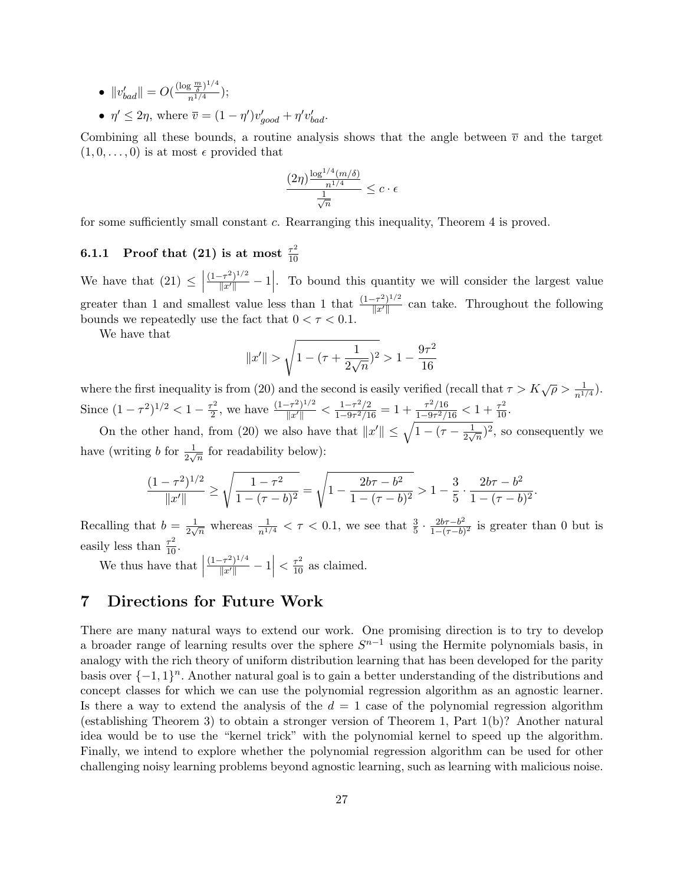$\bullet \ \|v_{bad}'\| = O(\frac{(\log \frac{m}{\delta})^{1/4}}{n^{1/4}})$  $\frac{3\bar{\delta}^{\prime\prime}}{n^{1/4}});$ •  $\eta' \leq 2\eta$ , where  $\overline{v} = (1 - \eta')v'_{good} + \eta' v'_{bad}$ .

Combining all these bounds, a routine analysis shows that the angle between  $\bar{v}$  and the target  $(1, 0, \ldots, 0)$  is at most  $\epsilon$  provided that

$$
\frac{(2\eta)^{\frac{\log^{1/4}(m/\delta)}{n^{1/4}}}}{\frac{1}{\sqrt{n}}} \leq c \cdot \epsilon
$$

for some sufficiently small constant c. Rearranging this inequality, Theorem 4 is proved.

#### 6.1.1 Proof that (21) is at most  $\frac{\tau^2}{10}$ 10

We have that  $(21) \leq$  $\frac{(1-\tau^2)^{1/2}}{\|x'\|} - 1$  $\overline{\phantom{a}}$ . To bound this quantity we will consider the largest value greater than 1 and smallest value less than 1 that  $\frac{(1-\tau^2)^{1/2}}{\|\cdot\|_{L^r}}$  $\frac{f(x)-f(x)}{\|x'\|}$  can take. Throughout the following bounds we repeatedly use the fact that  $0 < \tau < 0.1$ .

We have that

$$
||x'|| > \sqrt{1 - (\tau + \frac{1}{2\sqrt{n}})^2} > 1 - \frac{9\tau^2}{16}
$$

where the first inequality is from (20) and the second is easily verified (recall that  $\tau > K\sqrt{\rho} > \frac{1}{n^{1/4}}$ ). Since  $(1 - \tau^2)^{1/2} < 1 - \frac{\tau^2}{2}$  $\frac{\tau^2}{2}$ , we have  $\frac{(1-\tau^2)^{1/2}}{\|x'\|} < \frac{1-\tau^2/2}{1-9\tau^2/1}$  $\frac{1-\tau^2/2}{1-9\tau^2/16} = 1 + \frac{\tau^2/16}{1-9\tau^2/16}$  $\frac{\tau^2/16}{1-9\tau^2/16} < 1 + \frac{\tau^2}{10}.$ On the other hand, from (20) we also have that  $||x'|| \le \sqrt{1 - (\tau - \frac{1}{2})^2}$ 

 $\frac{1}{2\sqrt{n}}$ <sup>2</sup>, so consequently we have (writing b for  $\frac{1}{2\sqrt{n}}$  for readability below):

$$
\frac{(1-\tau^2)^{1/2}}{\|x'\|} \ge \sqrt{\frac{1-\tau^2}{1-(\tau-b)^2}} = \sqrt{1-\frac{2b\tau-b^2}{1-(\tau-b)^2}} > 1-\frac{3}{5} \cdot \frac{2b\tau-b^2}{1-(\tau-b)^2}
$$

.

Recalling that  $b = \frac{1}{2}$  $\frac{1}{2\sqrt{n}}$  whereas  $\frac{1}{n^{1/4}} < \tau < 0.1$ , we see that  $\frac{3}{5} \cdot \frac{2b\tau - b^2}{1-(\tau-b)}$  $\frac{2b\tau-b^2}{1-(\tau-b)^2}$  is greater than 0 but is easily less than  $\frac{\tau^2}{10}$ .

We thus have that  $\frac{(1-\tau^2)^{1/4}}{\|x'\|} - 1$  $\left| \n\langle \frac{\tau^2}{10} \text{ as claimed.} \right|$ 

## 7 Directions for Future Work

There are many natural ways to extend our work. One promising direction is to try to develop a broader range of learning results over the sphere  $S^{n-1}$  using the Hermite polynomials basis, in analogy with the rich theory of uniform distribution learning that has been developed for the parity basis over  $\{-1,1\}^n$ . Another natural goal is to gain a better understanding of the distributions and concept classes for which we can use the polynomial regression algorithm as an agnostic learner. Is there a way to extend the analysis of the  $d = 1$  case of the polynomial regression algorithm (establishing Theorem 3) to obtain a stronger version of Theorem 1, Part 1(b)? Another natural idea would be to use the "kernel trick" with the polynomial kernel to speed up the algorithm. Finally, we intend to explore whether the polynomial regression algorithm can be used for other challenging noisy learning problems beyond agnostic learning, such as learning with malicious noise.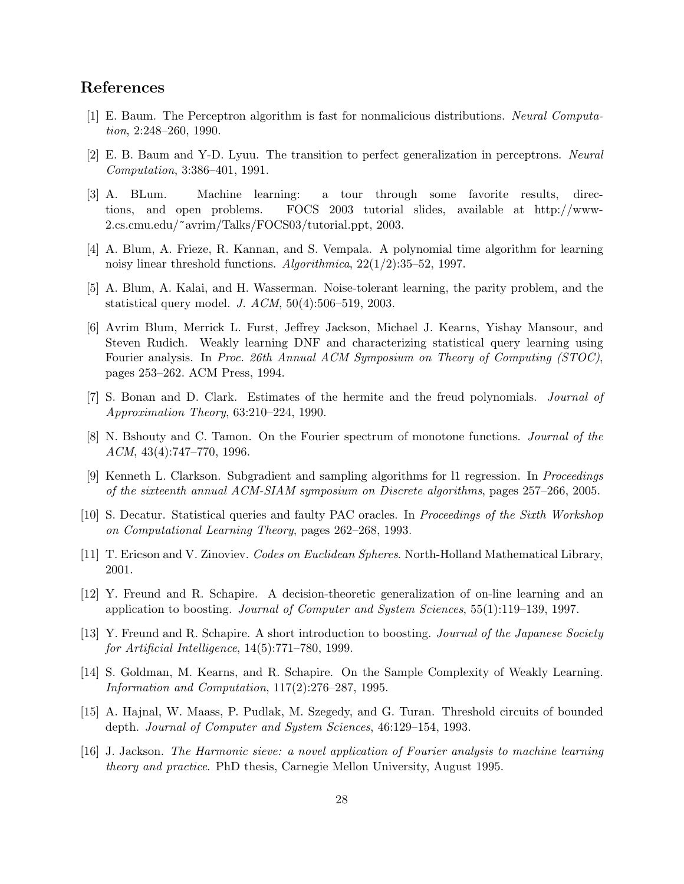## References

- [1] E. Baum. The Perceptron algorithm is fast for nonmalicious distributions. Neural Computation, 2:248–260, 1990.
- [2] E. B. Baum and Y-D. Lyuu. The transition to perfect generalization in perceptrons. Neural Computation, 3:386–401, 1991.
- [3] A. BLum. Machine learning: a tour through some favorite results, directions, and open problems. FOCS 2003 tutorial slides, available at http://www-2.cs.cmu.edu/~avrim/Talks/FOCS03/tutorial.ppt, 2003.
- [4] A. Blum, A. Frieze, R. Kannan, and S. Vempala. A polynomial time algorithm for learning noisy linear threshold functions. Algorithmica, 22(1/2):35–52, 1997.
- [5] A. Blum, A. Kalai, and H. Wasserman. Noise-tolerant learning, the parity problem, and the statistical query model. J. ACM, 50(4):506–519, 2003.
- [6] Avrim Blum, Merrick L. Furst, Jeffrey Jackson, Michael J. Kearns, Yishay Mansour, and Steven Rudich. Weakly learning DNF and characterizing statistical query learning using Fourier analysis. In Proc. 26th Annual ACM Symposium on Theory of Computing (STOC), pages 253–262. ACM Press, 1994.
- [7] S. Bonan and D. Clark. Estimates of the hermite and the freud polynomials. *Journal of* Approximation Theory, 63:210–224, 1990.
- [8] N. Bshouty and C. Tamon. On the Fourier spectrum of monotone functions. Journal of the ACM, 43(4):747–770, 1996.
- [9] Kenneth L. Clarkson. Subgradient and sampling algorithms for l1 regression. In Proceedings of the sixteenth annual ACM-SIAM symposium on Discrete algorithms, pages 257–266, 2005.
- [10] S. Decatur. Statistical queries and faulty PAC oracles. In Proceedings of the Sixth Workshop on Computational Learning Theory, pages 262–268, 1993.
- [11] T. Ericson and V. Zinoviev. Codes on Euclidean Spheres. North-Holland Mathematical Library, 2001.
- [12] Y. Freund and R. Schapire. A decision-theoretic generalization of on-line learning and an application to boosting. Journal of Computer and System Sciences, 55(1):119–139, 1997.
- [13] Y. Freund and R. Schapire. A short introduction to boosting. Journal of the Japanese Society for Artificial Intelligence, 14(5):771–780, 1999.
- [14] S. Goldman, M. Kearns, and R. Schapire. On the Sample Complexity of Weakly Learning. Information and Computation, 117(2):276–287, 1995.
- [15] A. Hajnal, W. Maass, P. Pudlak, M. Szegedy, and G. Turan. Threshold circuits of bounded depth. Journal of Computer and System Sciences, 46:129–154, 1993.
- [16] J. Jackson. The Harmonic sieve: a novel application of Fourier analysis to machine learning theory and practice. PhD thesis, Carnegie Mellon University, August 1995.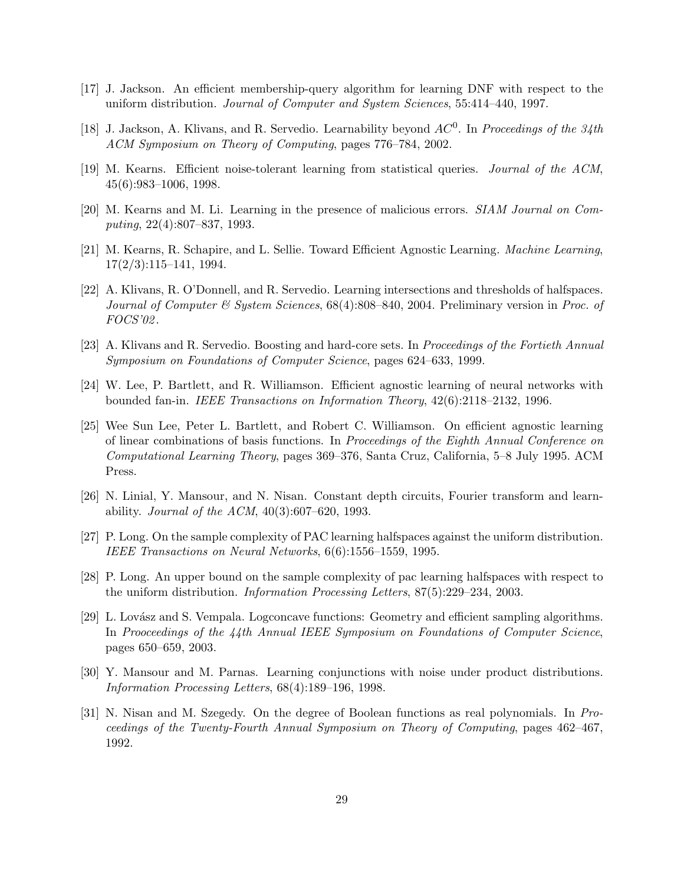- [17] J. Jackson. An efficient membership-query algorithm for learning DNF with respect to the uniform distribution. Journal of Computer and System Sciences, 55:414–440, 1997.
- [18] J. Jackson, A. Klivans, and R. Servedio. Learnability beyond  $AC^0$ . In Proceedings of the 34th ACM Symposium on Theory of Computing, pages 776–784, 2002.
- [19] M. Kearns. Efficient noise-tolerant learning from statistical queries. Journal of the ACM, 45(6):983–1006, 1998.
- [20] M. Kearns and M. Li. Learning in the presence of malicious errors. SIAM Journal on Computing, 22(4):807–837, 1993.
- [21] M. Kearns, R. Schapire, and L. Sellie. Toward Efficient Agnostic Learning. Machine Learning,  $17(2/3):115-141, 1994.$
- [22] A. Klivans, R. O'Donnell, and R. Servedio. Learning intersections and thresholds of halfspaces. Journal of Computer & System Sciences, 68(4):808–840, 2004. Preliminary version in Proc. of FOCS'02 .
- [23] A. Klivans and R. Servedio. Boosting and hard-core sets. In Proceedings of the Fortieth Annual Symposium on Foundations of Computer Science, pages 624–633, 1999.
- [24] W. Lee, P. Bartlett, and R. Williamson. Efficient agnostic learning of neural networks with bounded fan-in. IEEE Transactions on Information Theory, 42(6):2118–2132, 1996.
- [25] Wee Sun Lee, Peter L. Bartlett, and Robert C. Williamson. On efficient agnostic learning of linear combinations of basis functions. In Proceedings of the Eighth Annual Conference on Computational Learning Theory, pages 369–376, Santa Cruz, California, 5–8 July 1995. ACM Press.
- [26] N. Linial, Y. Mansour, and N. Nisan. Constant depth circuits, Fourier transform and learnability. *Journal of the ACM*,  $40(3):607-620$ , 1993.
- [27] P. Long. On the sample complexity of PAC learning halfspaces against the uniform distribution. IEEE Transactions on Neural Networks, 6(6):1556–1559, 1995.
- [28] P. Long. An upper bound on the sample complexity of pac learning halfspaces with respect to the uniform distribution. Information Processing Letters, 87(5):229–234, 2003.
- [29] L. Lovász and S. Vempala. Logconcave functions: Geometry and efficient sampling algorithms. In Prooceedings of the 44th Annual IEEE Symposium on Foundations of Computer Science, pages 650–659, 2003.
- [30] Y. Mansour and M. Parnas. Learning conjunctions with noise under product distributions. Information Processing Letters, 68(4):189–196, 1998.
- [31] N. Nisan and M. Szegedy. On the degree of Boolean functions as real polynomials. In Proceedings of the Twenty-Fourth Annual Symposium on Theory of Computing, pages 462–467, 1992.